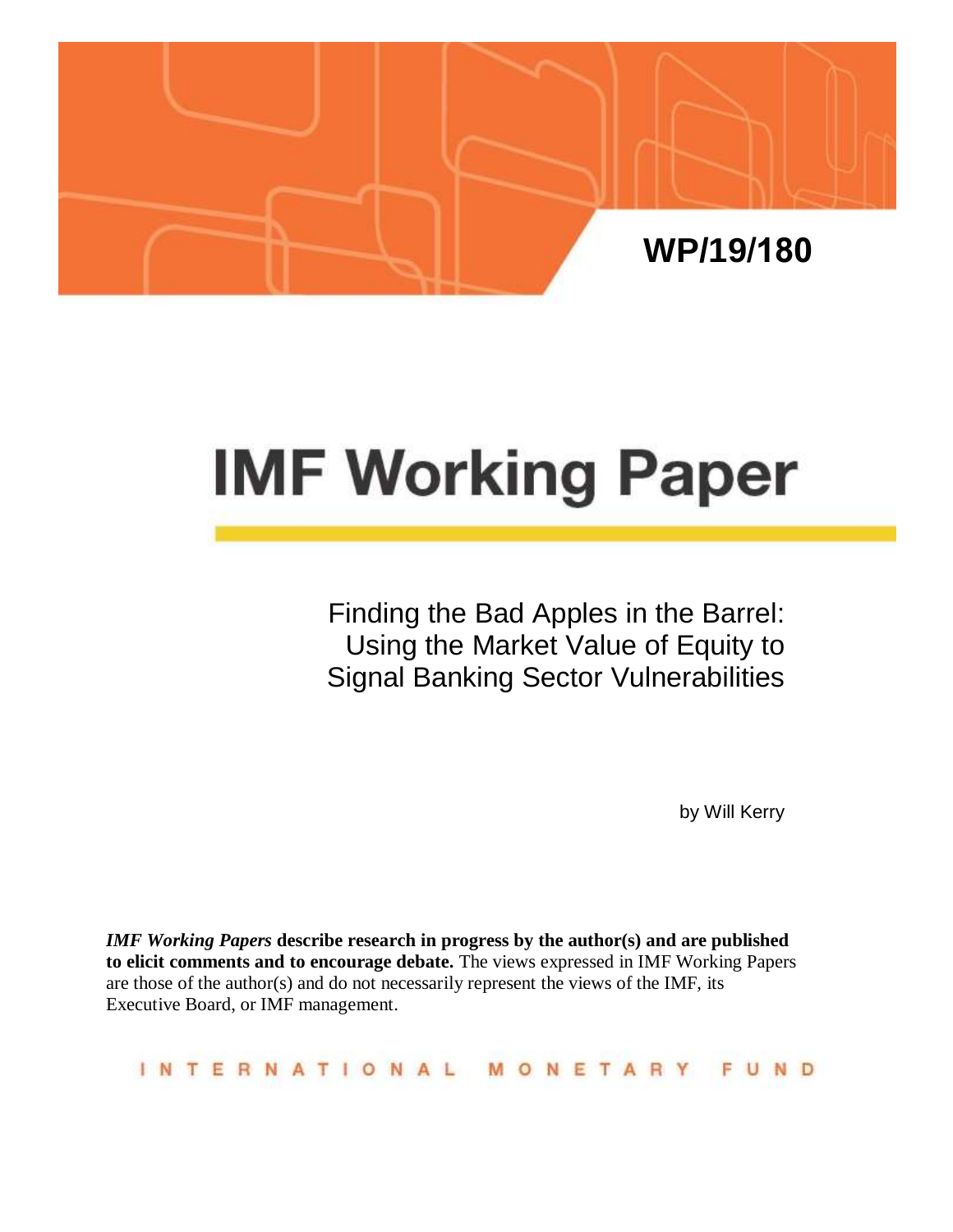

# **IMF Working Paper**

Finding the Bad Apples in the Barrel: Using the Market Value of Equity to Signal Banking Sector Vulnerabilities

by Will Kerry

*IMF Working Papers* **describe research in progress by the author(s) and are published to elicit comments and to encourage debate.** The views expressed in IMF Working Papers are those of the author(s) and do not necessarily represent the views of the IMF, its Executive Board, or IMF management.

**INTERNATIONAL** MONETAR N<sub>D</sub>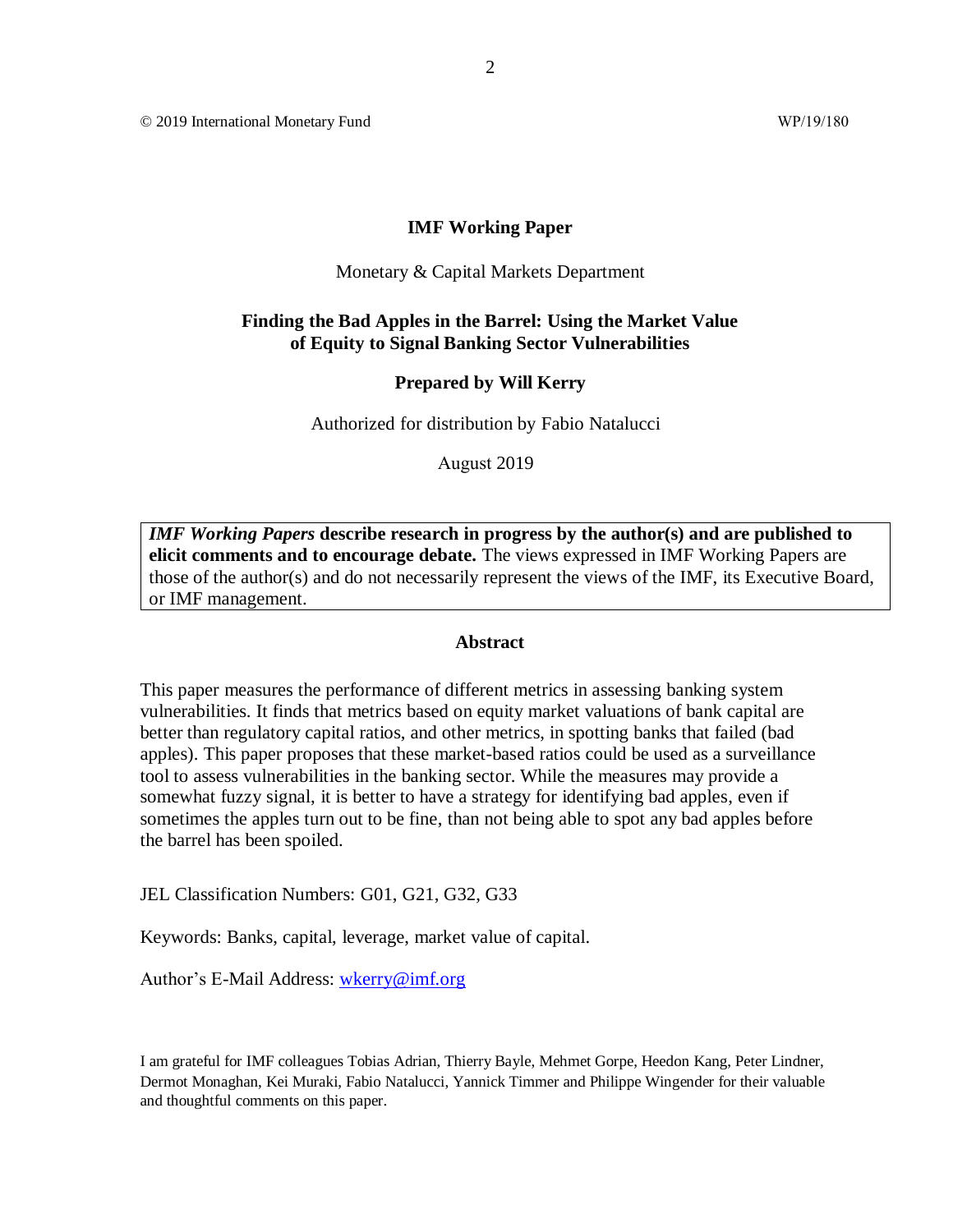© 2019 International Monetary Fund WP/19/180

#### **IMF Working Paper**

#### Monetary & Capital Markets Department

#### **Finding the Bad Apples in the Barrel: Using the Market Value of Equity to Signal Banking Sector Vulnerabilities**

#### **Prepared by Will Kerry**

Authorized for distribution by Fabio Natalucci

August 2019

*IMF Working Papers* **describe research in progress by the author(s) and are published to elicit comments and to encourage debate.** The views expressed in IMF Working Papers are those of the author(s) and do not necessarily represent the views of the IMF, its Executive Board, or IMF management.

#### **Abstract**

This paper measures the performance of different metrics in assessing banking system vulnerabilities. It finds that metrics based on equity market valuations of bank capital are better than regulatory capital ratios, and other metrics, in spotting banks that failed (bad apples). This paper proposes that these market-based ratios could be used as a surveillance tool to assess vulnerabilities in the banking sector. While the measures may provide a somewhat fuzzy signal, it is better to have a strategy for identifying bad apples, even if sometimes the apples turn out to be fine, than not being able to spot any bad apples before the barrel has been spoiled.

JEL Classification Numbers: G01, G21, G32, G33

Keywords: Banks, capital, leverage, market value of capital.

Author's E-Mail Address: [wkerry@imf.org](mailto:wkerry@imf.org)

I am grateful for IMF colleagues Tobias Adrian, Thierry Bayle, Mehmet Gorpe, Heedon Kang, Peter Lindner, Dermot Monaghan, Kei Muraki, Fabio Natalucci, Yannick Timmer and Philippe Wingender for their valuable and thoughtful comments on this paper.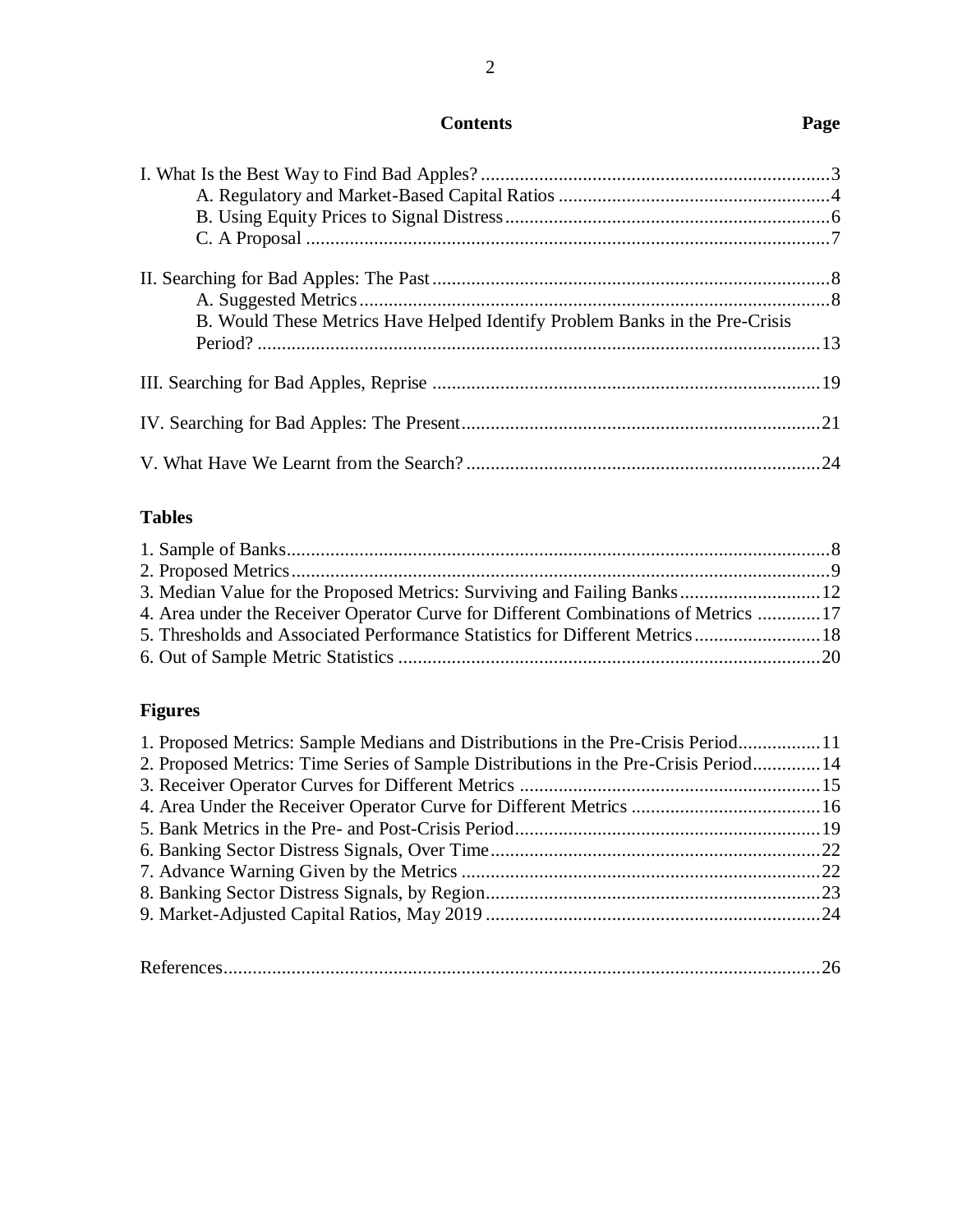# **Contents Page**

2

| B. Would These Metrics Have Helped Identify Problem Banks in the Pre-Crisis |  |
|-----------------------------------------------------------------------------|--|
|                                                                             |  |
|                                                                             |  |
|                                                                             |  |
|                                                                             |  |
|                                                                             |  |
|                                                                             |  |
|                                                                             |  |

# **Tables**

| 3. Median Value for the Proposed Metrics: Surviving and Failing Banks 12           |  |
|------------------------------------------------------------------------------------|--|
| 4. Area under the Receiver Operator Curve for Different Combinations of Metrics 17 |  |
| 5. Thresholds and Associated Performance Statistics for Different Metrics 18       |  |
|                                                                                    |  |

# **Figures**

| 1. Proposed Metrics: Sample Medians and Distributions in the Pre-Crisis Period11     |  |
|--------------------------------------------------------------------------------------|--|
| 2. Proposed Metrics: Time Series of Sample Distributions in the Pre-Crisis Period 14 |  |
|                                                                                      |  |
|                                                                                      |  |
|                                                                                      |  |
|                                                                                      |  |
|                                                                                      |  |
|                                                                                      |  |
|                                                                                      |  |
|                                                                                      |  |
|                                                                                      |  |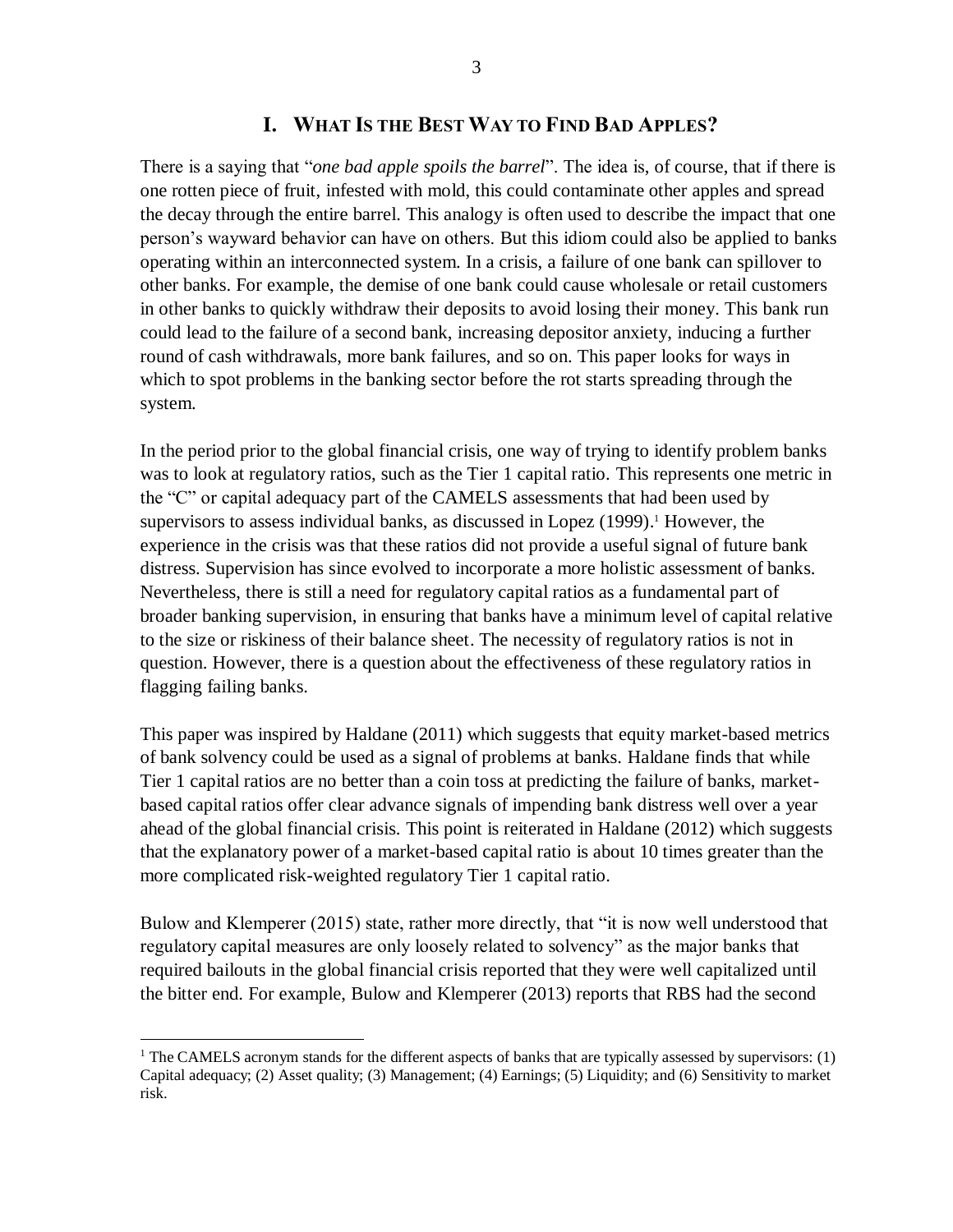#### **I. WHAT IS THE BEST WAY TO FIND BAD APPLES?**

There is a saying that "*one bad apple spoils the barrel*". The idea is, of course, that if there is one rotten piece of fruit, infested with mold, this could contaminate other apples and spread the decay through the entire barrel. This analogy is often used to describe the impact that one person's wayward behavior can have on others. But this idiom could also be applied to banks operating within an interconnected system. In a crisis, a failure of one bank can spillover to other banks. For example, the demise of one bank could cause wholesale or retail customers in other banks to quickly withdraw their deposits to avoid losing their money. This bank run could lead to the failure of a second bank, increasing depositor anxiety, inducing a further round of cash withdrawals, more bank failures, and so on. This paper looks for ways in which to spot problems in the banking sector before the rot starts spreading through the system.

In the period prior to the global financial crisis, one way of trying to identify problem banks was to look at regulatory ratios, such as the Tier 1 capital ratio. This represents one metric in the "C" or capital adequacy part of the CAMELS assessments that had been used by supervisors to assess individual banks, as discussed in Lopez (1999). <sup>1</sup> However, the experience in the crisis was that these ratios did not provide a useful signal of future bank distress. Supervision has since evolved to incorporate a more holistic assessment of banks. Nevertheless, there is still a need for regulatory capital ratios as a fundamental part of broader banking supervision, in ensuring that banks have a minimum level of capital relative to the size or riskiness of their balance sheet. The necessity of regulatory ratios is not in question. However, there is a question about the effectiveness of these regulatory ratios in flagging failing banks.

This paper was inspired by Haldane (2011) which suggests that equity market-based metrics of bank solvency could be used as a signal of problems at banks. Haldane finds that while Tier 1 capital ratios are no better than a coin toss at predicting the failure of banks, marketbased capital ratios offer clear advance signals of impending bank distress well over a year ahead of the global financial crisis. This point is reiterated in Haldane (2012) which suggests that the explanatory power of a market-based capital ratio is about 10 times greater than the more complicated risk-weighted regulatory Tier 1 capital ratio.

Bulow and Klemperer (2015) state, rather more directly, that "it is now well understood that regulatory capital measures are only loosely related to solvency" as the major banks that required bailouts in the global financial crisis reported that they were well capitalized until the bitter end. For example, Bulow and Klemperer (2013) reports that RBS had the second

 $\overline{a}$ 

<sup>&</sup>lt;sup>1</sup> The CAMELS acronym stands for the different aspects of banks that are typically assessed by supervisors: (1) Capital adequacy; (2) Asset quality; (3) Management; (4) Earnings; (5) Liquidity; and (6) Sensitivity to market risk.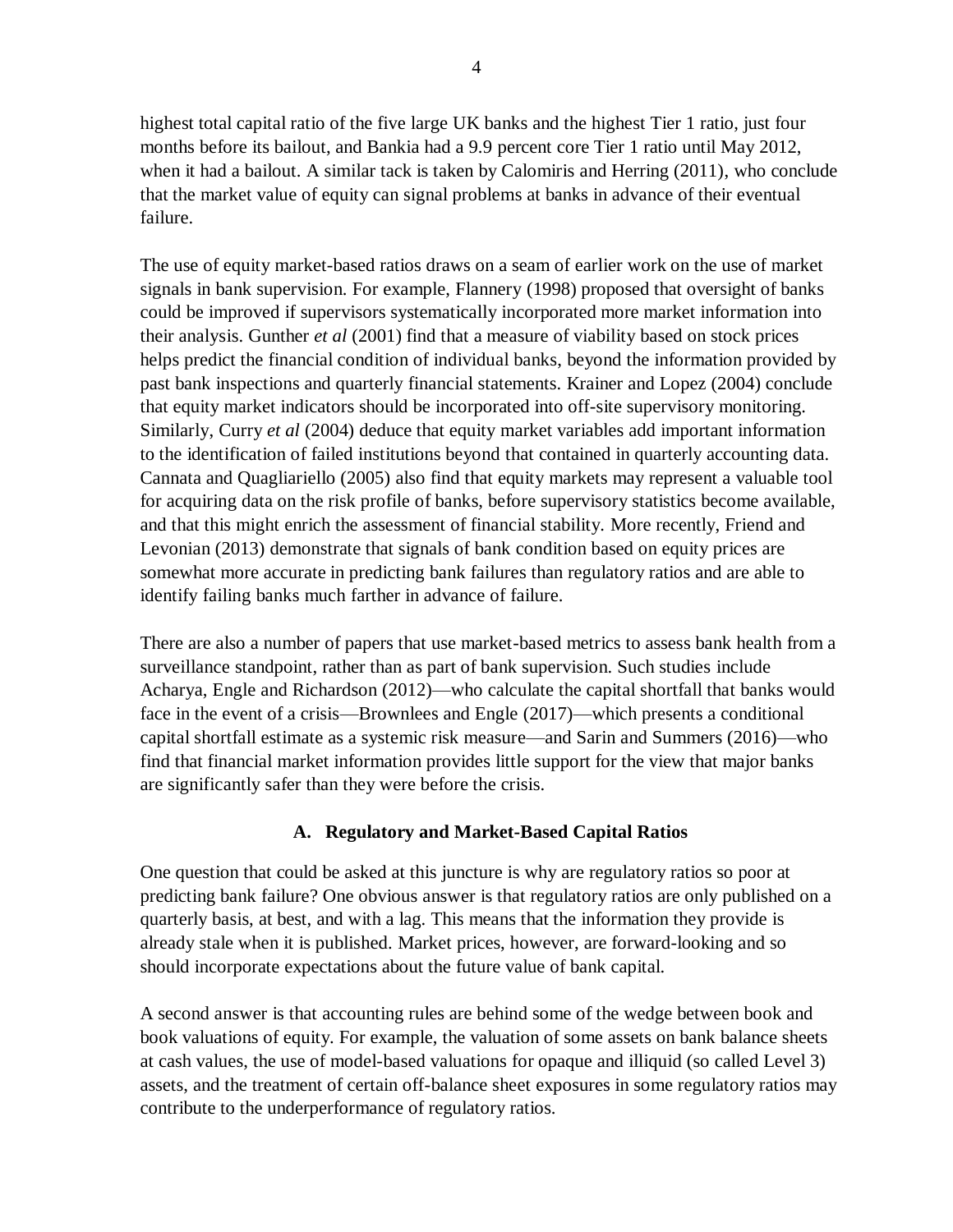highest total capital ratio of the five large UK banks and the highest Tier 1 ratio, just four months before its bailout, and Bankia had a 9.9 percent core Tier 1 ratio until May 2012, when it had a bailout. A similar tack is taken by Calomiris and Herring (2011), who conclude that the market value of equity can signal problems at banks in advance of their eventual failure.

The use of equity market-based ratios draws on a seam of earlier work on the use of market signals in bank supervision. For example, Flannery (1998) proposed that oversight of banks could be improved if supervisors systematically incorporated more market information into their analysis. Gunther *et al* (2001) find that a measure of viability based on stock prices helps predict the financial condition of individual banks, beyond the information provided by past bank inspections and quarterly financial statements. Krainer and Lopez (2004) conclude that equity market indicators should be incorporated into off-site supervisory monitoring. Similarly, Curry *et al* (2004) deduce that equity market variables add important information to the identification of failed institutions beyond that contained in quarterly accounting data. Cannata and Quagliariello (2005) also find that equity markets may represent a valuable tool for acquiring data on the risk profile of banks, before supervisory statistics become available, and that this might enrich the assessment of financial stability. More recently, Friend and Levonian (2013) demonstrate that signals of bank condition based on equity prices are somewhat more accurate in predicting bank failures than regulatory ratios and are able to identify failing banks much farther in advance of failure.

There are also a number of papers that use market-based metrics to assess bank health from a surveillance standpoint, rather than as part of bank supervision. Such studies include Acharya, Engle and Richardson (2012)—who calculate the capital shortfall that banks would face in the event of a crisis—Brownlees and Engle (2017)—which presents a conditional capital shortfall estimate as a systemic risk measure—and Sarin and Summers (2016)—who find that financial market information provides little support for the view that major banks are significantly safer than they were before the crisis.

## **A. Regulatory and Market-Based Capital Ratios**

One question that could be asked at this juncture is why are regulatory ratios so poor at predicting bank failure? One obvious answer is that regulatory ratios are only published on a quarterly basis, at best, and with a lag. This means that the information they provide is already stale when it is published. Market prices, however, are forward-looking and so should incorporate expectations about the future value of bank capital.

A second answer is that accounting rules are behind some of the wedge between book and book valuations of equity. For example, the valuation of some assets on bank balance sheets at cash values, the use of model-based valuations for opaque and illiquid (so called Level 3) assets, and the treatment of certain off-balance sheet exposures in some regulatory ratios may contribute to the underperformance of regulatory ratios.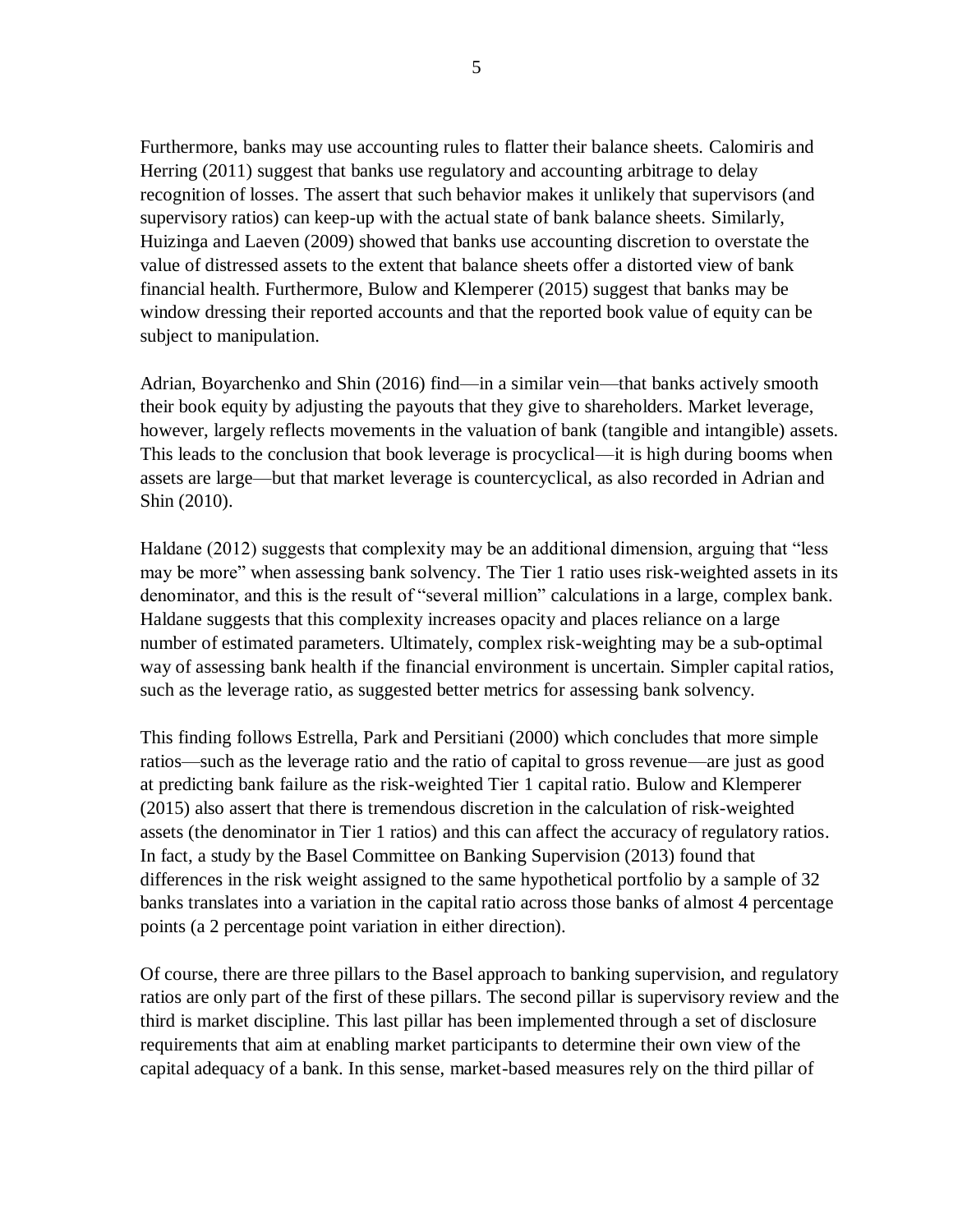Furthermore, banks may use accounting rules to flatter their balance sheets. Calomiris and Herring (2011) suggest that banks use regulatory and accounting arbitrage to delay recognition of losses. The assert that such behavior makes it unlikely that supervisors (and supervisory ratios) can keep-up with the actual state of bank balance sheets. Similarly, Huizinga and Laeven (2009) showed that banks use accounting discretion to overstate the value of distressed assets to the extent that balance sheets offer a distorted view of bank financial health. Furthermore, Bulow and Klemperer (2015) suggest that banks may be window dressing their reported accounts and that the reported book value of equity can be subject to manipulation.

Adrian, Boyarchenko and Shin (2016) find—in a similar vein—that banks actively smooth their book equity by adjusting the payouts that they give to shareholders. Market leverage, however, largely reflects movements in the valuation of bank (tangible and intangible) assets. This leads to the conclusion that book leverage is procyclical—it is high during booms when assets are large—but that market leverage is countercyclical, as also recorded in Adrian and Shin (2010).

Haldane (2012) suggests that complexity may be an additional dimension, arguing that "less may be more" when assessing bank solvency. The Tier 1 ratio uses risk-weighted assets in its denominator, and this is the result of "several million" calculations in a large, complex bank. Haldane suggests that this complexity increases opacity and places reliance on a large number of estimated parameters. Ultimately, complex risk-weighting may be a sub-optimal way of assessing bank health if the financial environment is uncertain. Simpler capital ratios, such as the leverage ratio, as suggested better metrics for assessing bank solvency.

This finding follows Estrella, Park and Persitiani (2000) which concludes that more simple ratios—such as the leverage ratio and the ratio of capital to gross revenue—are just as good at predicting bank failure as the risk-weighted Tier 1 capital ratio. Bulow and Klemperer (2015) also assert that there is tremendous discretion in the calculation of risk-weighted assets (the denominator in Tier 1 ratios) and this can affect the accuracy of regulatory ratios. In fact, a study by the Basel Committee on Banking Supervision (2013) found that differences in the risk weight assigned to the same hypothetical portfolio by a sample of 32 banks translates into a variation in the capital ratio across those banks of almost 4 percentage points (a 2 percentage point variation in either direction).

Of course, there are three pillars to the Basel approach to banking supervision, and regulatory ratios are only part of the first of these pillars. The second pillar is supervisory review and the third is market discipline. This last pillar has been implemented through a set of disclosure requirements that aim at enabling market participants to determine their own view of the capital adequacy of a bank. In this sense, market-based measures rely on the third pillar of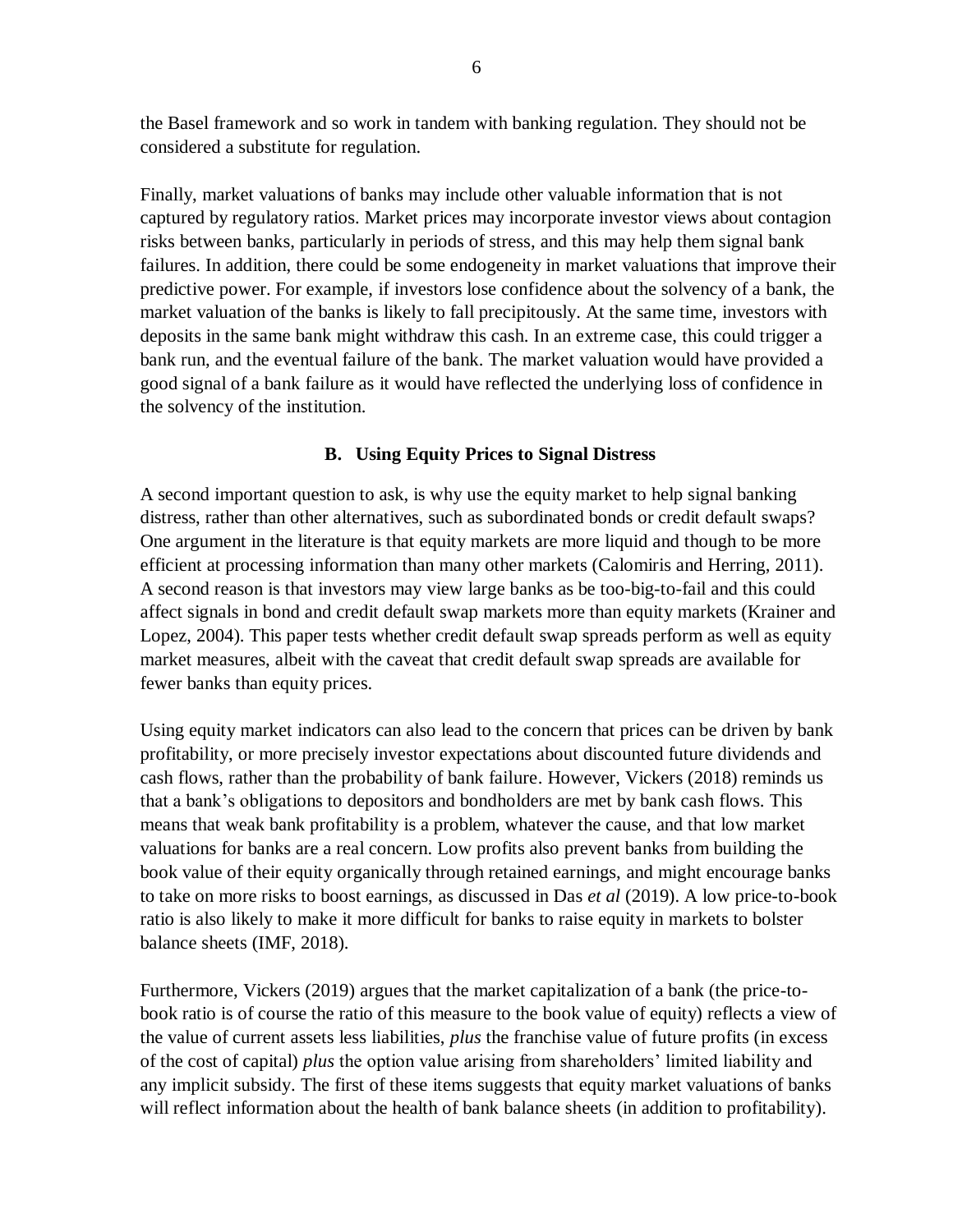the Basel framework and so work in tandem with banking regulation. They should not be considered a substitute for regulation.

Finally, market valuations of banks may include other valuable information that is not captured by regulatory ratios. Market prices may incorporate investor views about contagion risks between banks, particularly in periods of stress, and this may help them signal bank failures. In addition, there could be some endogeneity in market valuations that improve their predictive power. For example, if investors lose confidence about the solvency of a bank, the market valuation of the banks is likely to fall precipitously. At the same time, investors with deposits in the same bank might withdraw this cash. In an extreme case, this could trigger a bank run, and the eventual failure of the bank. The market valuation would have provided a good signal of a bank failure as it would have reflected the underlying loss of confidence in the solvency of the institution.

## **B. Using Equity Prices to Signal Distress**

A second important question to ask, is why use the equity market to help signal banking distress, rather than other alternatives, such as subordinated bonds or credit default swaps? One argument in the literature is that equity markets are more liquid and though to be more efficient at processing information than many other markets (Calomiris and Herring, 2011). A second reason is that investors may view large banks as be too-big-to-fail and this could affect signals in bond and credit default swap markets more than equity markets (Krainer and Lopez, 2004). This paper tests whether credit default swap spreads perform as well as equity market measures, albeit with the caveat that credit default swap spreads are available for fewer banks than equity prices.

Using equity market indicators can also lead to the concern that prices can be driven by bank profitability, or more precisely investor expectations about discounted future dividends and cash flows, rather than the probability of bank failure. However, Vickers (2018) reminds us that a bank's obligations to depositors and bondholders are met by bank cash flows. This means that weak bank profitability is a problem, whatever the cause, and that low market valuations for banks are a real concern. Low profits also prevent banks from building the book value of their equity organically through retained earnings, and might encourage banks to take on more risks to boost earnings, as discussed in Das *et al* (2019). A low price-to-book ratio is also likely to make it more difficult for banks to raise equity in markets to bolster balance sheets (IMF, 2018).

Furthermore, Vickers (2019) argues that the market capitalization of a bank (the price-tobook ratio is of course the ratio of this measure to the book value of equity) reflects a view of the value of current assets less liabilities, *plus* the franchise value of future profits (in excess of the cost of capital) *plus* the option value arising from shareholders' limited liability and any implicit subsidy. The first of these items suggests that equity market valuations of banks will reflect information about the health of bank balance sheets (in addition to profitability).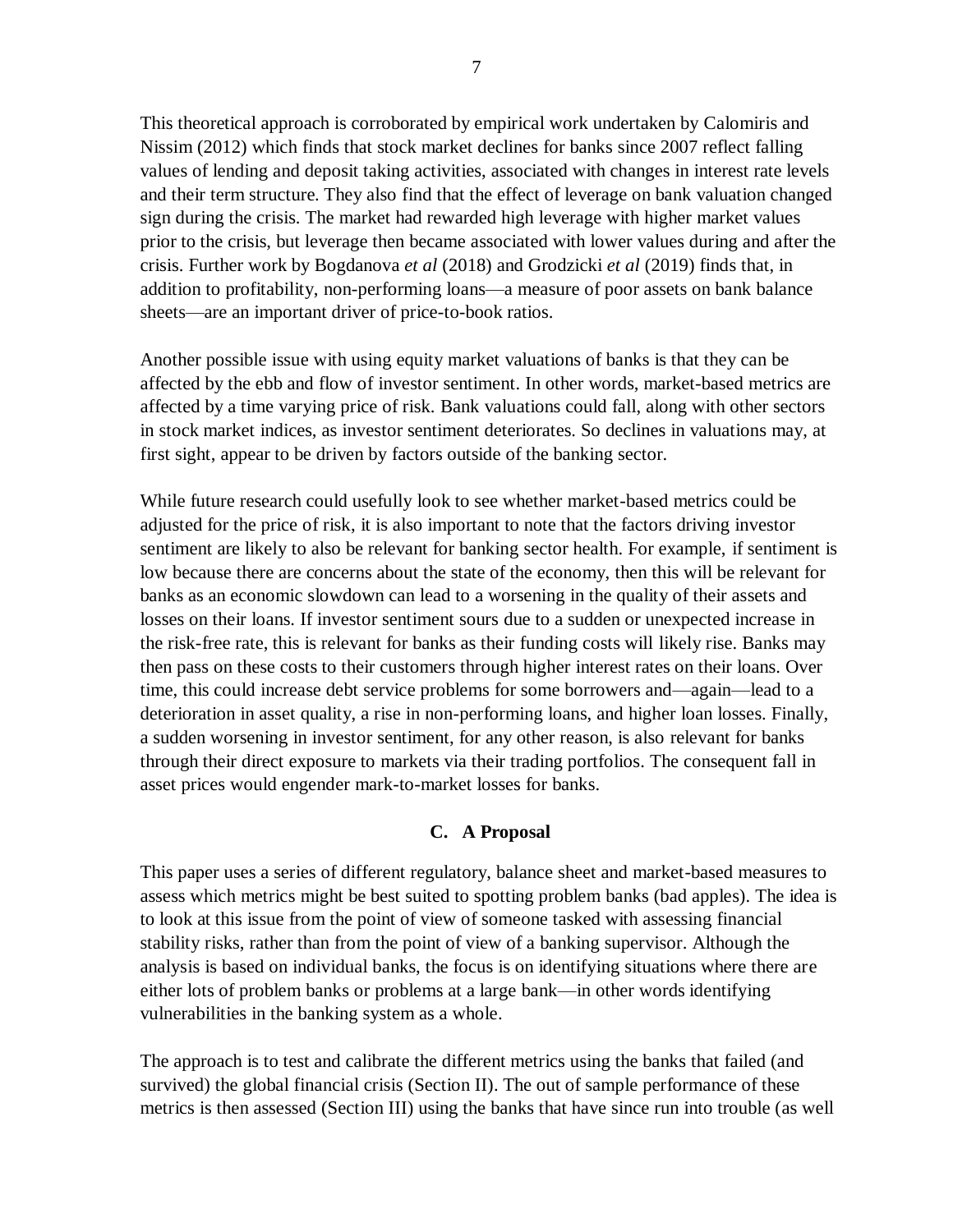This theoretical approach is corroborated by empirical work undertaken by Calomiris and Nissim (2012) which finds that stock market declines for banks since 2007 reflect falling values of lending and deposit taking activities, associated with changes in interest rate levels and their term structure. They also find that the effect of leverage on bank valuation changed sign during the crisis. The market had rewarded high leverage with higher market values prior to the crisis, but leverage then became associated with lower values during and after the crisis. Further work by Bogdanova *et al* (2018) and Grodzicki *et al* (2019) finds that, in addition to profitability, non-performing loans—a measure of poor assets on bank balance sheets—are an important driver of price-to-book ratios.

Another possible issue with using equity market valuations of banks is that they can be affected by the ebb and flow of investor sentiment. In other words, market-based metrics are affected by a time varying price of risk. Bank valuations could fall, along with other sectors in stock market indices, as investor sentiment deteriorates. So declines in valuations may, at first sight, appear to be driven by factors outside of the banking sector.

While future research could usefully look to see whether market-based metrics could be adjusted for the price of risk, it is also important to note that the factors driving investor sentiment are likely to also be relevant for banking sector health. For example, if sentiment is low because there are concerns about the state of the economy, then this will be relevant for banks as an economic slowdown can lead to a worsening in the quality of their assets and losses on their loans. If investor sentiment sours due to a sudden or unexpected increase in the risk-free rate, this is relevant for banks as their funding costs will likely rise. Banks may then pass on these costs to their customers through higher interest rates on their loans. Over time, this could increase debt service problems for some borrowers and—again—lead to a deterioration in asset quality, a rise in non-performing loans, and higher loan losses. Finally, a sudden worsening in investor sentiment, for any other reason, is also relevant for banks through their direct exposure to markets via their trading portfolios. The consequent fall in asset prices would engender mark-to-market losses for banks.

## **C. A Proposal**

This paper uses a series of different regulatory, balance sheet and market-based measures to assess which metrics might be best suited to spotting problem banks (bad apples). The idea is to look at this issue from the point of view of someone tasked with assessing financial stability risks, rather than from the point of view of a banking supervisor. Although the analysis is based on individual banks, the focus is on identifying situations where there are either lots of problem banks or problems at a large bank—in other words identifying vulnerabilities in the banking system as a whole.

The approach is to test and calibrate the different metrics using the banks that failed (and survived) the global financial crisis (Section II). The out of sample performance of these metrics is then assessed (Section III) using the banks that have since run into trouble (as well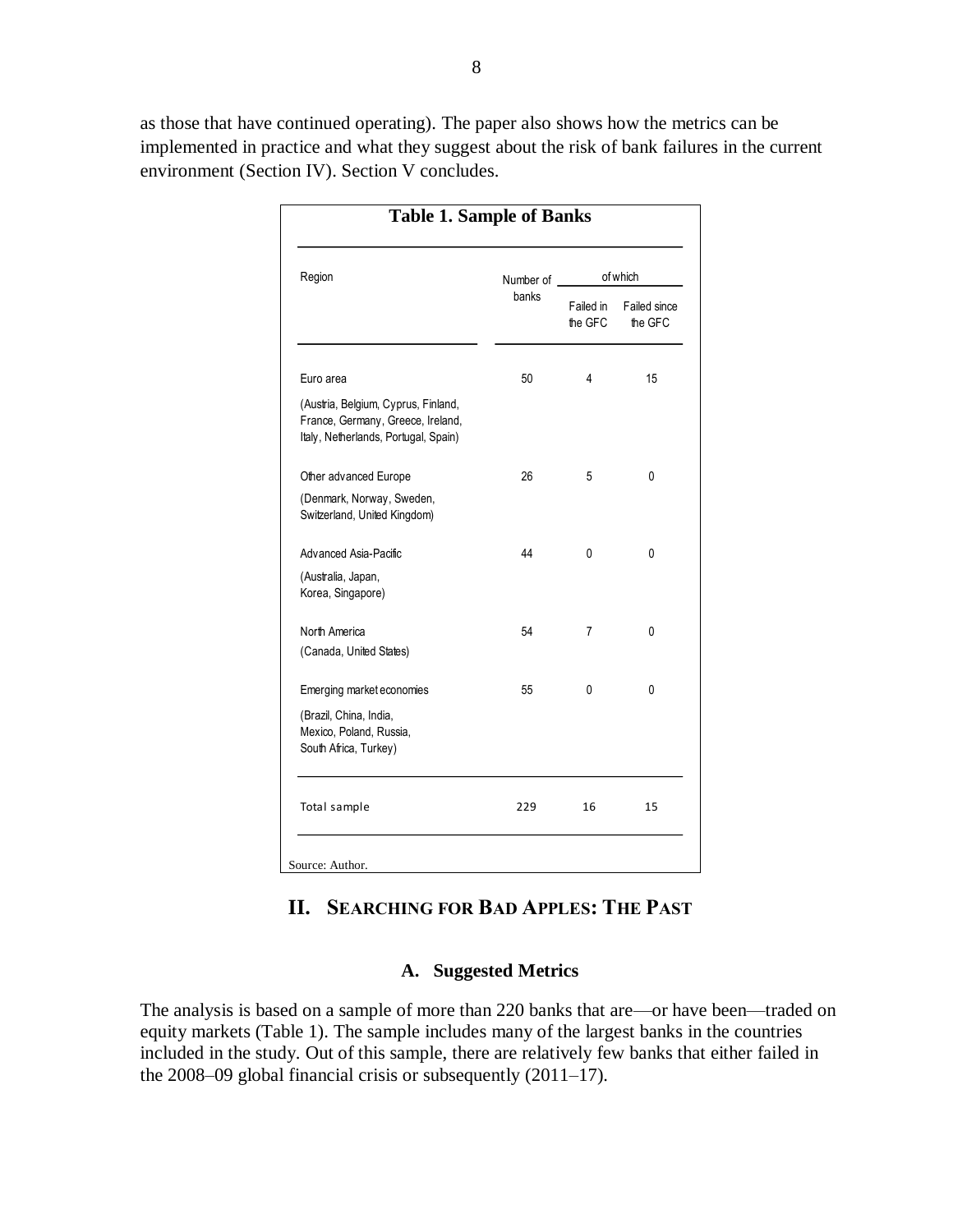as those that have continued operating). The paper also shows how the metrics can be implemented in practice and what they suggest about the risk of bank failures in the current environment (Section IV). Section V concludes.

| Region                                                                                                           | Number of | of which             |                         |  |
|------------------------------------------------------------------------------------------------------------------|-----------|----------------------|-------------------------|--|
|                                                                                                                  | banks     | Failed in<br>the GFC | Failed since<br>the GFC |  |
| Euro area                                                                                                        | 50        | 4                    | 15                      |  |
| (Austria, Belgium, Cyprus, Finland,<br>France, Germany, Greece, Ireland,<br>Italy, Netherlands, Portugal, Spain) |           |                      |                         |  |
| Other advanced Europe                                                                                            | 26        | 5                    | 0                       |  |
| (Denmark, Norway, Sweden,<br>Switzerland, United Kingdom)                                                        |           |                      |                         |  |
| Advanced Asia-Pacific                                                                                            | 44        | 0                    | 0                       |  |
| (Australia, Japan,<br>Korea, Singapore)                                                                          |           |                      |                         |  |
| North America<br>(Canada, United States)                                                                         | 54        | 7                    | 0                       |  |
| Emerging market economies                                                                                        | 55        | 0                    | 0                       |  |
| (Brazil, China, India,<br>Mexico, Poland, Russia,<br>South Africa, Turkey)                                       |           |                      |                         |  |
| Total sample                                                                                                     | 229       | 16                   | 15                      |  |

## **II. SEARCHING FOR BAD APPLES: THE PAST**

#### **A. Suggested Metrics**

The analysis is based on a sample of more than 220 banks that are—or have been—traded on equity markets (Table 1). The sample includes many of the largest banks in the countries included in the study. Out of this sample, there are relatively few banks that either failed in the 2008–09 global financial crisis or subsequently (2011–17).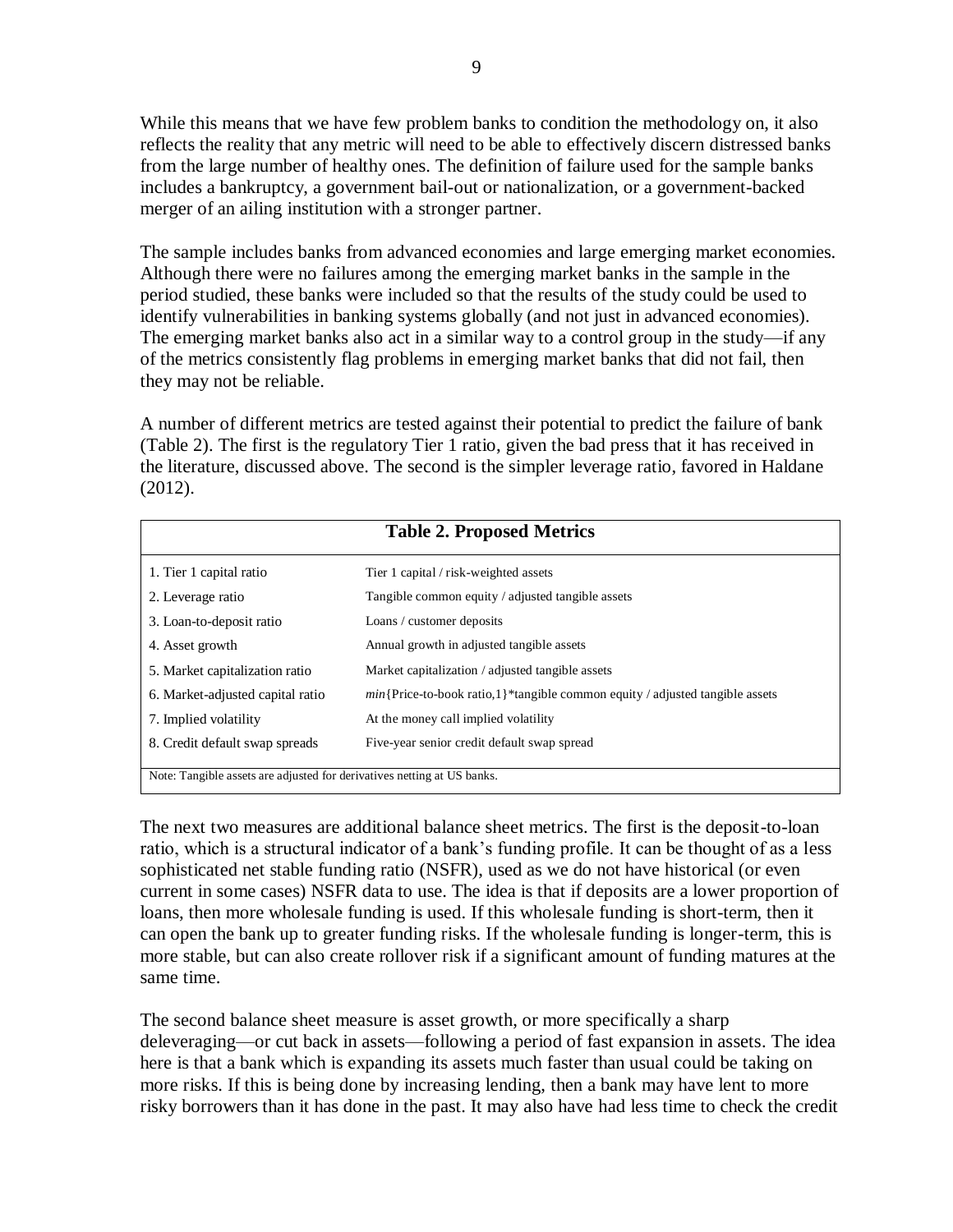While this means that we have few problem banks to condition the methodology on, it also reflects the reality that any metric will need to be able to effectively discern distressed banks from the large number of healthy ones. The definition of failure used for the sample banks includes a bankruptcy, a government bail-out or nationalization, or a government-backed merger of an ailing institution with a stronger partner.

The sample includes banks from advanced economies and large emerging market economies. Although there were no failures among the emerging market banks in the sample in the period studied, these banks were included so that the results of the study could be used to identify vulnerabilities in banking systems globally (and not just in advanced economies). The emerging market banks also act in a similar way to a control group in the study—if any of the metrics consistently flag problems in emerging market banks that did not fail, then they may not be reliable.

A number of different metrics are tested against their potential to predict the failure of bank (Table 2). The first is the regulatory Tier 1 ratio, given the bad press that it has received in the literature, discussed above. The second is the simpler leverage ratio, favored in Haldane (2012).

| <b>Table 2. Proposed Metrics</b>                                        |                                                                                 |  |  |  |  |
|-------------------------------------------------------------------------|---------------------------------------------------------------------------------|--|--|--|--|
| 1. Tier 1 capital ratio                                                 | Tier 1 capital / risk-weighted assets                                           |  |  |  |  |
| 2. Leverage ratio                                                       | Tangible common equity / adjusted tangible assets                               |  |  |  |  |
| 3. Loan-to-deposit ratio                                                | Loans / customer deposits                                                       |  |  |  |  |
| 4. Asset growth                                                         | Annual growth in adjusted tangible assets                                       |  |  |  |  |
| 5. Market capitalization ratio                                          | Market capitalization / adjusted tangible assets                                |  |  |  |  |
| 6. Market-adjusted capital ratio                                        | $min$ {Price-to-book ratio,1}*tangible common equity / adjusted tangible assets |  |  |  |  |
| 7. Implied volatility                                                   | At the money call implied volatility                                            |  |  |  |  |
| 8. Credit default swap spreads                                          | Five-year senior credit default swap spread                                     |  |  |  |  |
| Note: Tangible assets are adjusted for derivatives netting at US banks. |                                                                                 |  |  |  |  |

The next two measures are additional balance sheet metrics. The first is the deposit-to-loan ratio, which is a structural indicator of a bank's funding profile. It can be thought of as a less sophisticated net stable funding ratio (NSFR), used as we do not have historical (or even current in some cases) NSFR data to use. The idea is that if deposits are a lower proportion of loans, then more wholesale funding is used. If this wholesale funding is short-term, then it can open the bank up to greater funding risks. If the wholesale funding is longer-term, this is more stable, but can also create rollover risk if a significant amount of funding matures at the same time.

The second balance sheet measure is asset growth, or more specifically a sharp deleveraging—or cut back in assets—following a period of fast expansion in assets. The idea here is that a bank which is expanding its assets much faster than usual could be taking on more risks. If this is being done by increasing lending, then a bank may have lent to more risky borrowers than it has done in the past. It may also have had less time to check the credit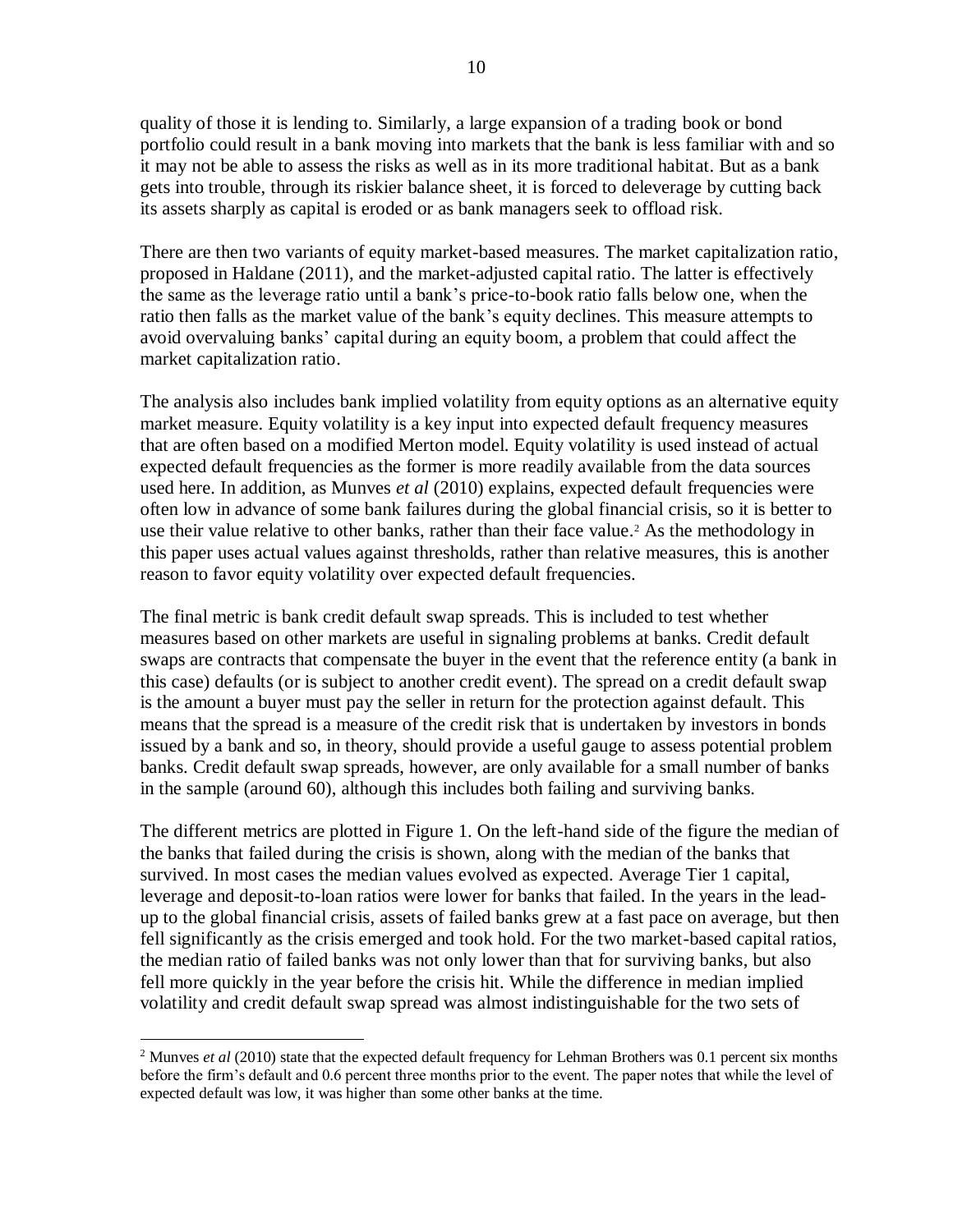quality of those it is lending to. Similarly, a large expansion of a trading book or bond portfolio could result in a bank moving into markets that the bank is less familiar with and so it may not be able to assess the risks as well as in its more traditional habitat. But as a bank gets into trouble, through its riskier balance sheet, it is forced to deleverage by cutting back its assets sharply as capital is eroded or as bank managers seek to offload risk.

There are then two variants of equity market-based measures. The market capitalization ratio, proposed in Haldane (2011), and the market-adjusted capital ratio. The latter is effectively the same as the leverage ratio until a bank's price-to-book ratio falls below one, when the ratio then falls as the market value of the bank's equity declines. This measure attempts to avoid overvaluing banks' capital during an equity boom, a problem that could affect the market capitalization ratio.

The analysis also includes bank implied volatility from equity options as an alternative equity market measure. Equity volatility is a key input into expected default frequency measures that are often based on a modified Merton model. Equity volatility is used instead of actual expected default frequencies as the former is more readily available from the data sources used here. In addition, as Munves *et al* (2010) explains, expected default frequencies were often low in advance of some bank failures during the global financial crisis, so it is better to use their value relative to other banks, rather than their face value. <sup>2</sup> As the methodology in this paper uses actual values against thresholds, rather than relative measures, this is another reason to favor equity volatility over expected default frequencies.

The final metric is bank credit default swap spreads. This is included to test whether measures based on other markets are useful in signaling problems at banks. Credit default swaps are contracts that compensate the buyer in the event that the reference entity (a bank in this case) defaults (or is subject to another credit event). The spread on a credit default swap is the amount a buyer must pay the seller in return for the protection against default. This means that the spread is a measure of the credit risk that is undertaken by investors in bonds issued by a bank and so, in theory, should provide a useful gauge to assess potential problem banks. Credit default swap spreads, however, are only available for a small number of banks in the sample (around 60), although this includes both failing and surviving banks.

The different metrics are plotted in Figure 1. On the left-hand side of the figure the median of the banks that failed during the crisis is shown, along with the median of the banks that survived. In most cases the median values evolved as expected. Average Tier 1 capital, leverage and deposit-to-loan ratios were lower for banks that failed. In the years in the leadup to the global financial crisis, assets of failed banks grew at a fast pace on average, but then fell significantly as the crisis emerged and took hold. For the two market-based capital ratios, the median ratio of failed banks was not only lower than that for surviving banks, but also fell more quickly in the year before the crisis hit. While the difference in median implied volatility and credit default swap spread was almost indistinguishable for the two sets of

 $\overline{a}$ 

<sup>&</sup>lt;sup>2</sup> Munves *et al* (2010) state that the expected default frequency for Lehman Brothers was 0.1 percent six months before the firm's default and 0.6 percent three months prior to the event. The paper notes that while the level of expected default was low, it was higher than some other banks at the time.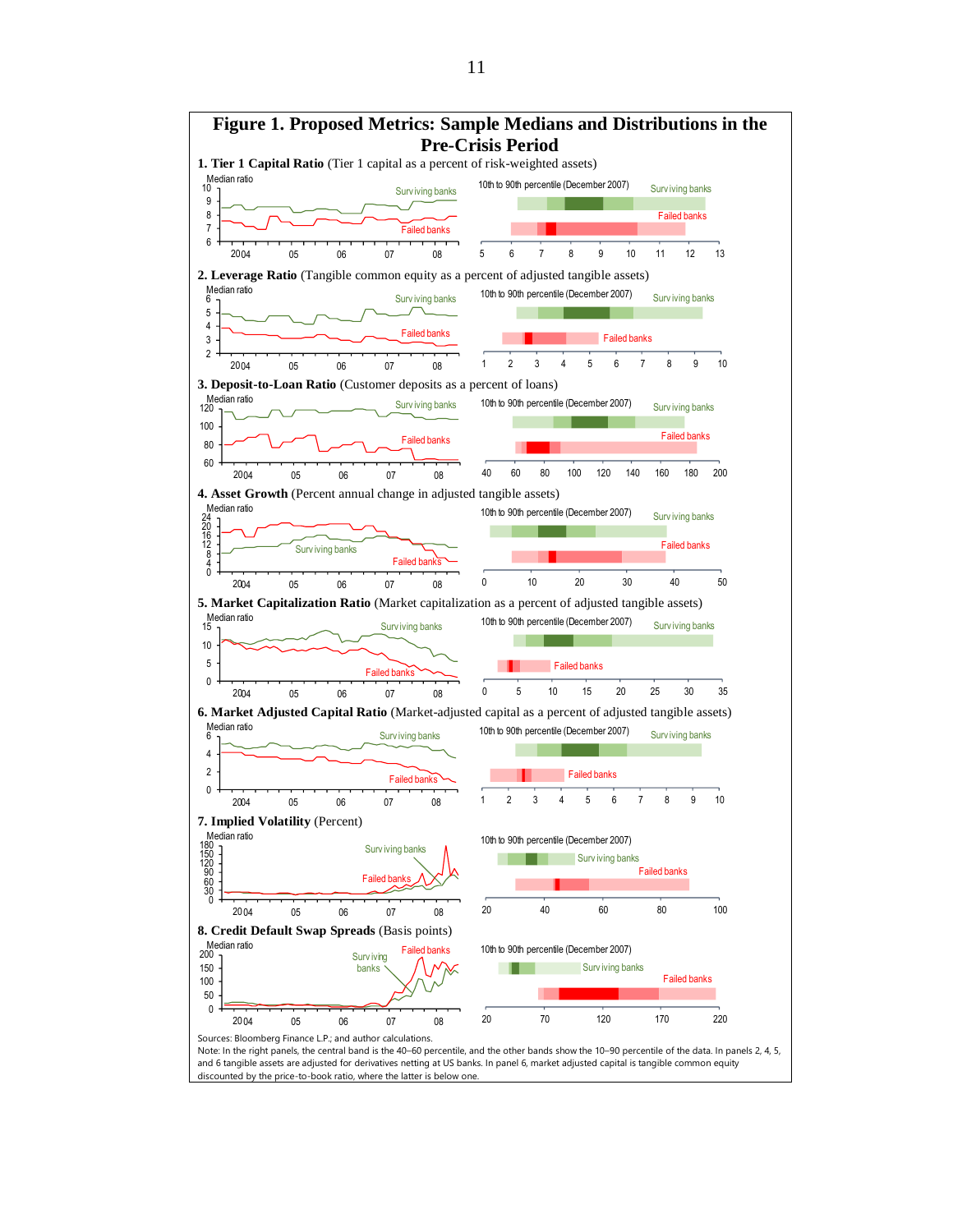

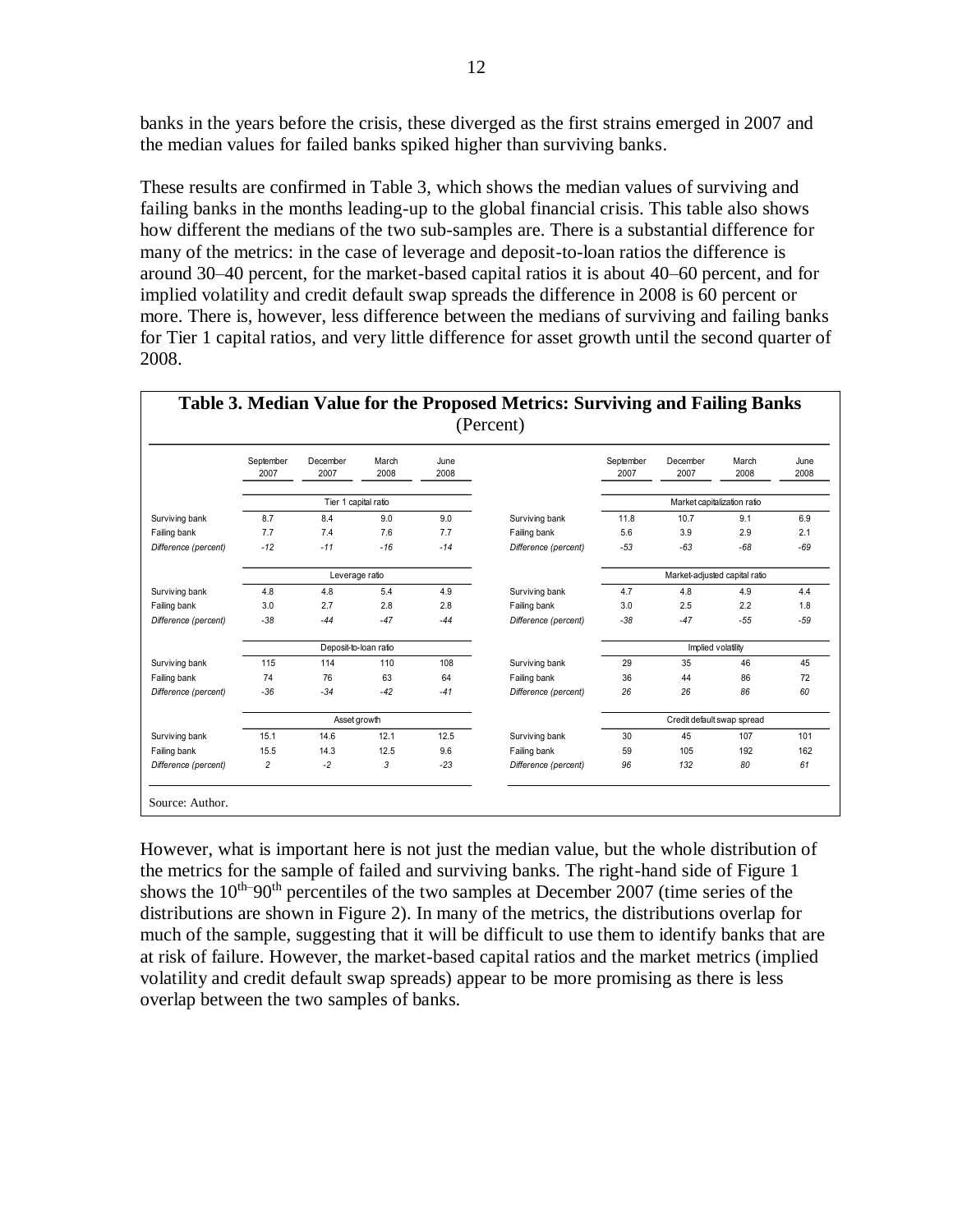banks in the years before the crisis, these diverged as the first strains emerged in 2007 and the median values for failed banks spiked higher than surviving banks.

These results are confirmed in Table 3, which shows the median values of surviving and failing banks in the months leading-up to the global financial crisis. This table also shows how different the medians of the two sub-samples are. There is a substantial difference for many of the metrics: in the case of leverage and deposit-to-loan ratios the difference is around 30–40 percent, for the market-based capital ratios it is about 40–60 percent, and for implied volatility and credit default swap spreads the difference in 2008 is 60 percent or more. There is, however, less difference between the medians of surviving and failing banks for Tier 1 capital ratios, and very little difference for asset growth until the second quarter of 2008.

|                      | September<br>2007 | December<br>2007      | March<br>2008 | June<br>2008 |                      | September<br>2007 | December<br>2007              | March<br>2008 | June<br>2008 |
|----------------------|-------------------|-----------------------|---------------|--------------|----------------------|-------------------|-------------------------------|---------------|--------------|
|                      |                   | Tier 1 capital ratio  |               |              |                      |                   | Market capitalization ratio   |               |              |
| Surviving bank       | 8.7               | 8.4                   | 9.0           | 9.0          | Surviving bank       | 11.8              | 10.7                          | 9.1           | 6.9          |
| Failing bank         | 7.7               | 7.4                   | 7.6           | 7.7          | Failing bank         | 5.6               | 3.9                           | 2.9           | 2.1          |
| Difference (percent) | $-12$             | $-11$                 | $-16$         | $-14$        | Difference (percent) | $-53$             | $-63$                         | $-68$         | $-69$        |
|                      |                   | Leverage ratio        |               |              |                      |                   | Market-adjusted capital ratio |               |              |
| Surviving bank       | 4.8               | 4.8                   | 5.4           | 4.9          | Surviving bank       | 4.7               | 4.8                           | 4.9           | 4.4          |
| Failing bank         | 3.0               | 2.7                   | 2.8           | 2.8          | Failing bank         | 3.0               | 2.5                           | 2.2           | 1.8          |
| Difference (percent) | $-38$             | $-44$                 | $-47$         | $-44$        | Difference (percent) | $-38$             | $-47$                         | $-55$         | $-59$        |
|                      |                   | Deposit-to-loan ratio |               |              |                      |                   | Implied volatility            |               |              |
| Surviving bank       | 115               | 114                   | 110           | 108          | Surviving bank       | 29                | 35                            | 46            | 45           |
| Failing bank         | 74                | 76                    | 63            | 64           | Failing bank         | 36                | 44                            | 86            | 72           |
| Difference (percent) | $-36$             | $-34$                 | $-42$         | $-41$        | Difference (percent) | 26                | 26                            | 86            | 60           |
|                      |                   | Asset growth          |               |              |                      |                   | Credit default swap spread    |               |              |
| Surviving bank       | 15.1              | 14.6                  | 12.1          | 12.5         | Surviving bank       | 30                | 45                            | 107           | 101          |
| Failing bank         | 15.5              | 14.3                  | 12.5          | 9.6          | Failing bank         | 59                | 105                           | 192           | 162          |
| Difference (percent) | $\overline{2}$    | $-2$                  | 3             | $-23$        | Difference (percent) | 96                | 132                           | 80            | 61           |

However, what is important here is not just the median value, but the whole distribution of the metrics for the sample of failed and surviving banks. The right-hand side of Figure 1 shows the  $10^{th}$ –90<sup>th</sup> percentiles of the two samples at December 2007 (time series of the distributions are shown in Figure 2). In many of the metrics, the distributions overlap for much of the sample, suggesting that it will be difficult to use them to identify banks that are at risk of failure. However, the market-based capital ratios and the market metrics (implied volatility and credit default swap spreads) appear to be more promising as there is less overlap between the two samples of banks.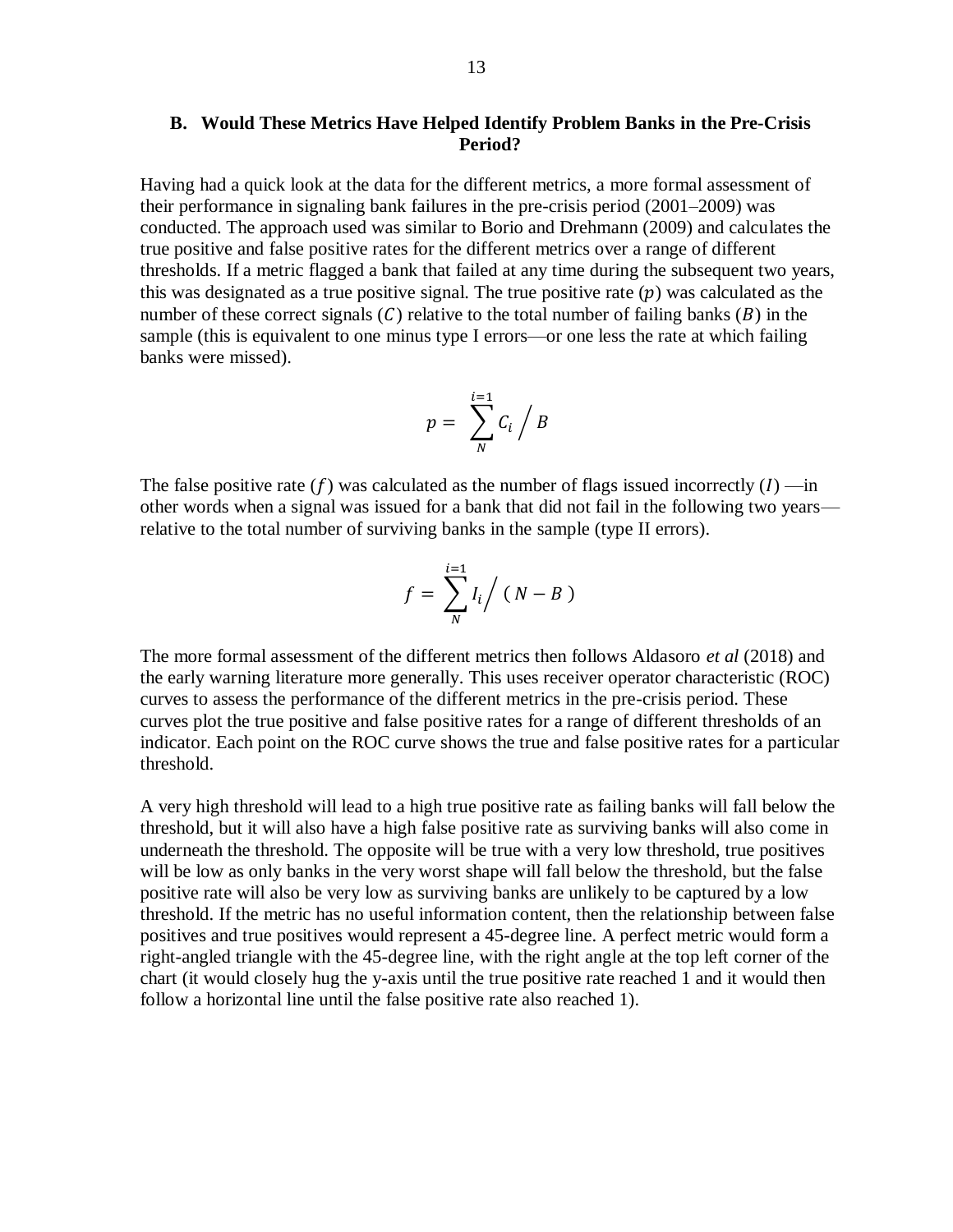#### **B. Would These Metrics Have Helped Identify Problem Banks in the Pre-Crisis Period?**

Having had a quick look at the data for the different metrics, a more formal assessment of their performance in signaling bank failures in the pre-crisis period (2001–2009) was conducted. The approach used was similar to Borio and Drehmann (2009) and calculates the true positive and false positive rates for the different metrics over a range of different thresholds. If a metric flagged a bank that failed at any time during the subsequent two years, this was designated as a true positive signal. The true positive rate  $(p)$  was calculated as the number of these correct signals  $(C)$  relative to the total number of failing banks  $(B)$  in the sample (this is equivalent to one minus type I errors—or one less the rate at which failing banks were missed).

$$
p = \sum_{N}^{i=1} C_i / B
$$

The false positive rate  $(f)$  was calculated as the number of flags issued incorrectly  $(I)$  —in other words when a signal was issued for a bank that did not fail in the following two years relative to the total number of surviving banks in the sample (type II errors).

$$
f = \sum_{N}^{i=1} I_i / (N - B)
$$

The more formal assessment of the different metrics then follows Aldasoro *et al* (2018) and the early warning literature more generally. This uses receiver operator characteristic (ROC) curves to assess the performance of the different metrics in the pre-crisis period. These curves plot the true positive and false positive rates for a range of different thresholds of an indicator. Each point on the ROC curve shows the true and false positive rates for a particular threshold.

A very high threshold will lead to a high true positive rate as failing banks will fall below the threshold, but it will also have a high false positive rate as surviving banks will also come in underneath the threshold. The opposite will be true with a very low threshold, true positives will be low as only banks in the very worst shape will fall below the threshold, but the false positive rate will also be very low as surviving banks are unlikely to be captured by a low threshold. If the metric has no useful information content, then the relationship between false positives and true positives would represent a 45-degree line. A perfect metric would form a right-angled triangle with the 45-degree line, with the right angle at the top left corner of the chart (it would closely hug the y-axis until the true positive rate reached 1 and it would then follow a horizontal line until the false positive rate also reached 1).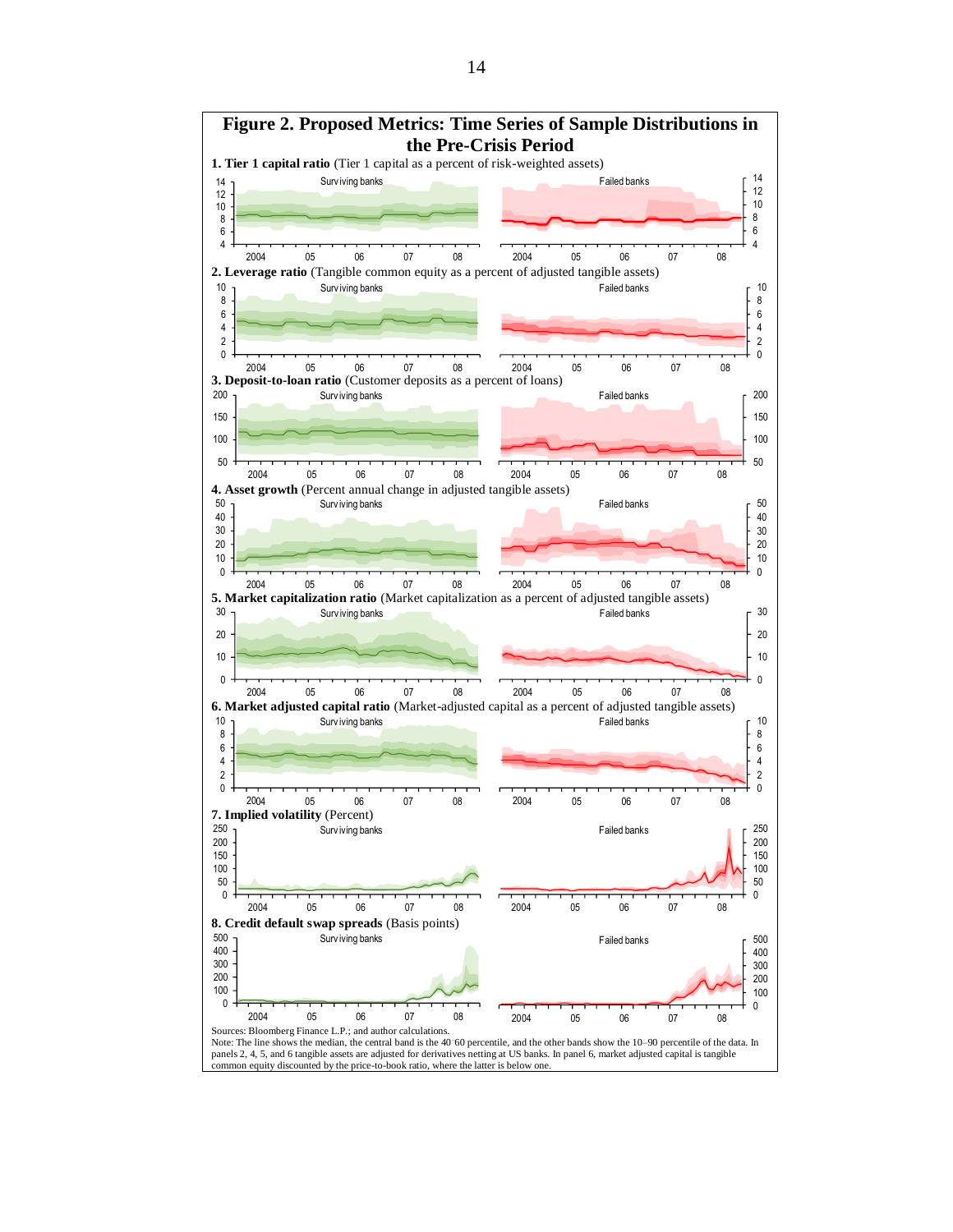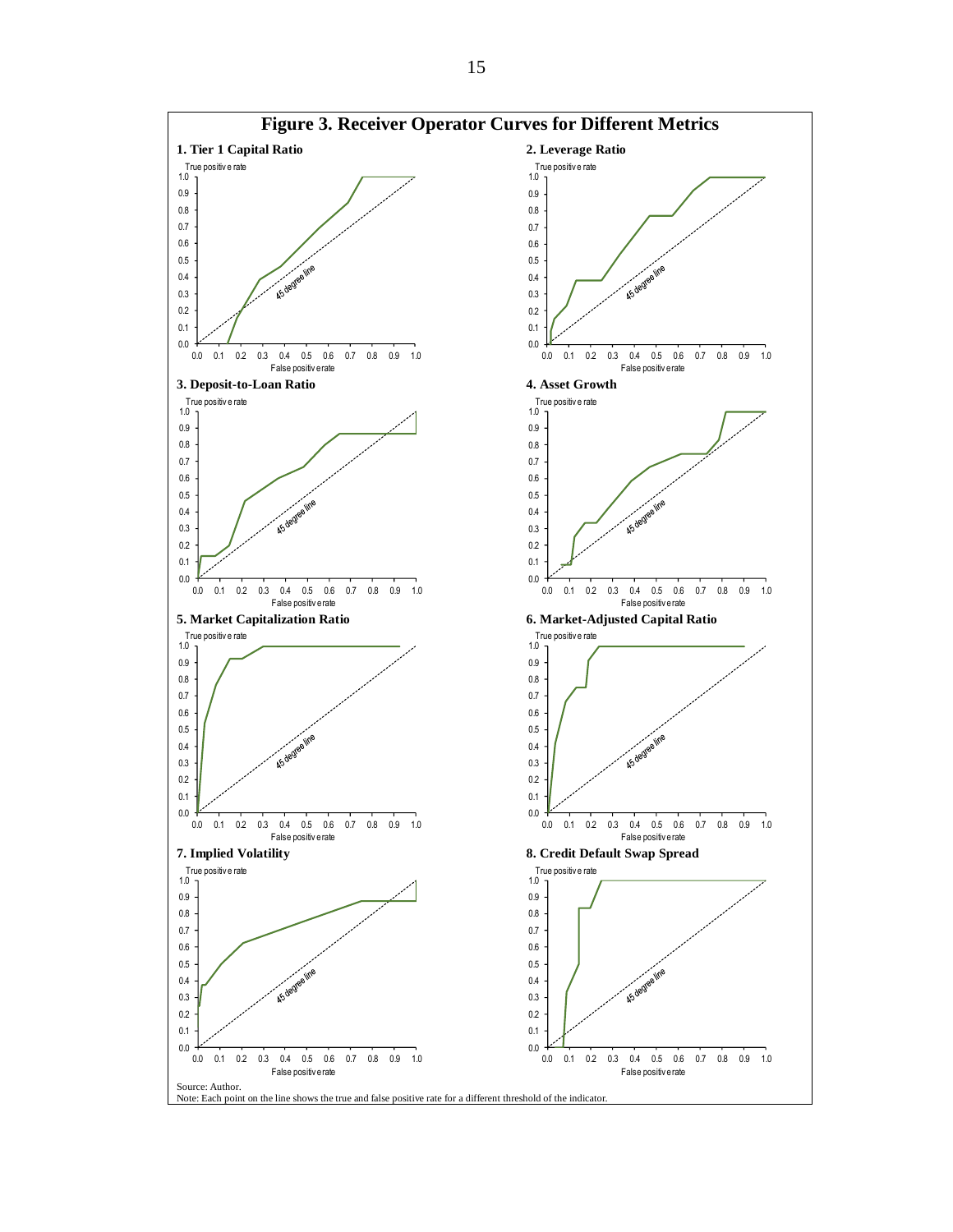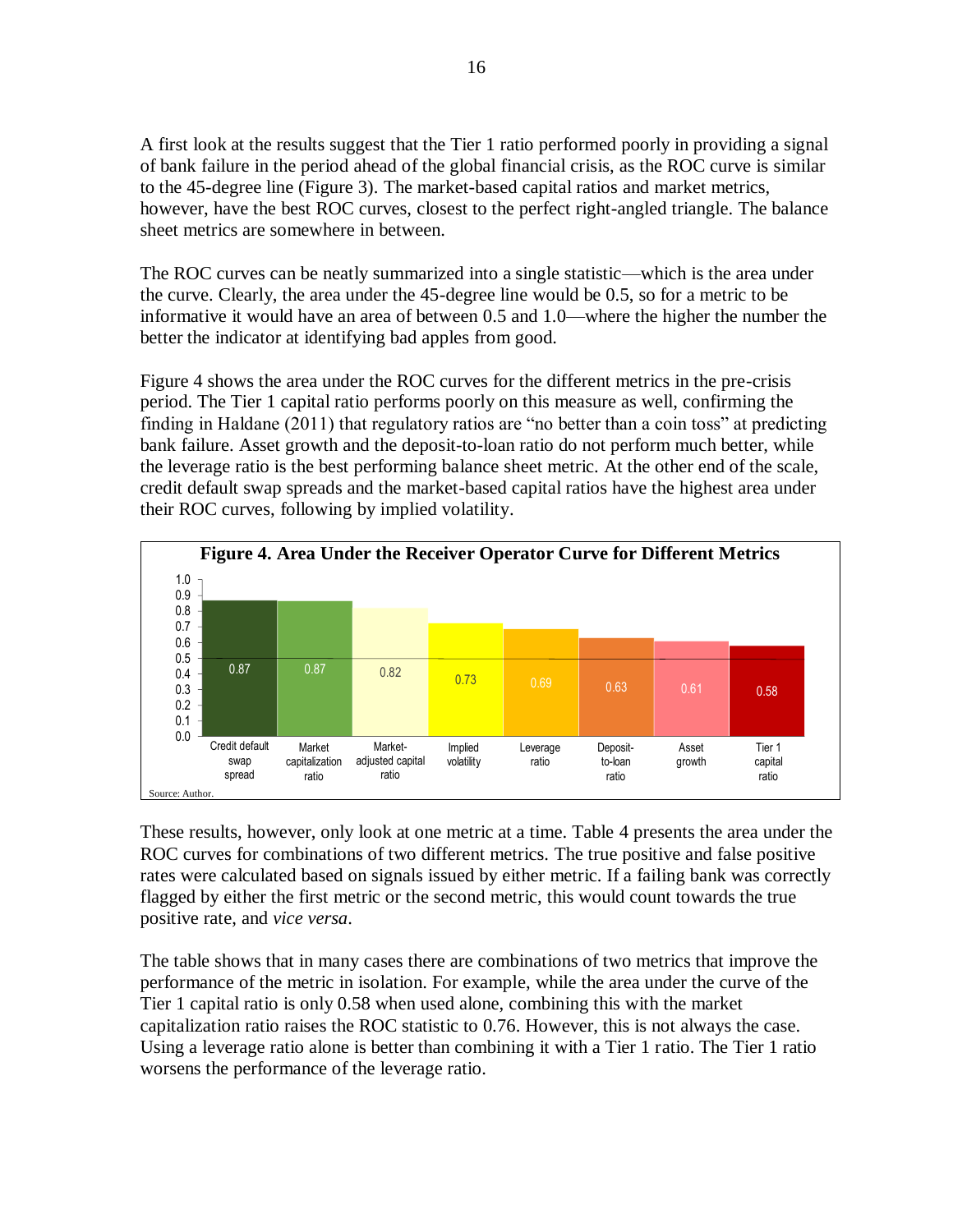A first look at the results suggest that the Tier 1 ratio performed poorly in providing a signal of bank failure in the period ahead of the global financial crisis, as the ROC curve is similar to the 45-degree line (Figure 3). The market-based capital ratios and market metrics, however, have the best ROC curves, closest to the perfect right-angled triangle. The balance sheet metrics are somewhere in between.

The ROC curves can be neatly summarized into a single statistic—which is the area under the curve. Clearly, the area under the 45-degree line would be 0.5, so for a metric to be informative it would have an area of between 0.5 and 1.0—where the higher the number the better the indicator at identifying bad apples from good.

Figure 4 shows the area under the ROC curves for the different metrics in the pre-crisis period. The Tier 1 capital ratio performs poorly on this measure as well, confirming the finding in Haldane (2011) that regulatory ratios are "no better than a coin toss" at predicting bank failure. Asset growth and the deposit-to-loan ratio do not perform much better, while the leverage ratio is the best performing balance sheet metric. At the other end of the scale, credit default swap spreads and the market-based capital ratios have the highest area under their ROC curves, following by implied volatility.



These results, however, only look at one metric at a time. Table 4 presents the area under the ROC curves for combinations of two different metrics. The true positive and false positive rates were calculated based on signals issued by either metric. If a failing bank was correctly flagged by either the first metric or the second metric, this would count towards the true positive rate, and *vice versa*.

The table shows that in many cases there are combinations of two metrics that improve the performance of the metric in isolation. For example, while the area under the curve of the Tier 1 capital ratio is only 0.58 when used alone, combining this with the market capitalization ratio raises the ROC statistic to 0.76. However, this is not always the case. Using a leverage ratio alone is better than combining it with a Tier 1 ratio. The Tier 1 ratio worsens the performance of the leverage ratio.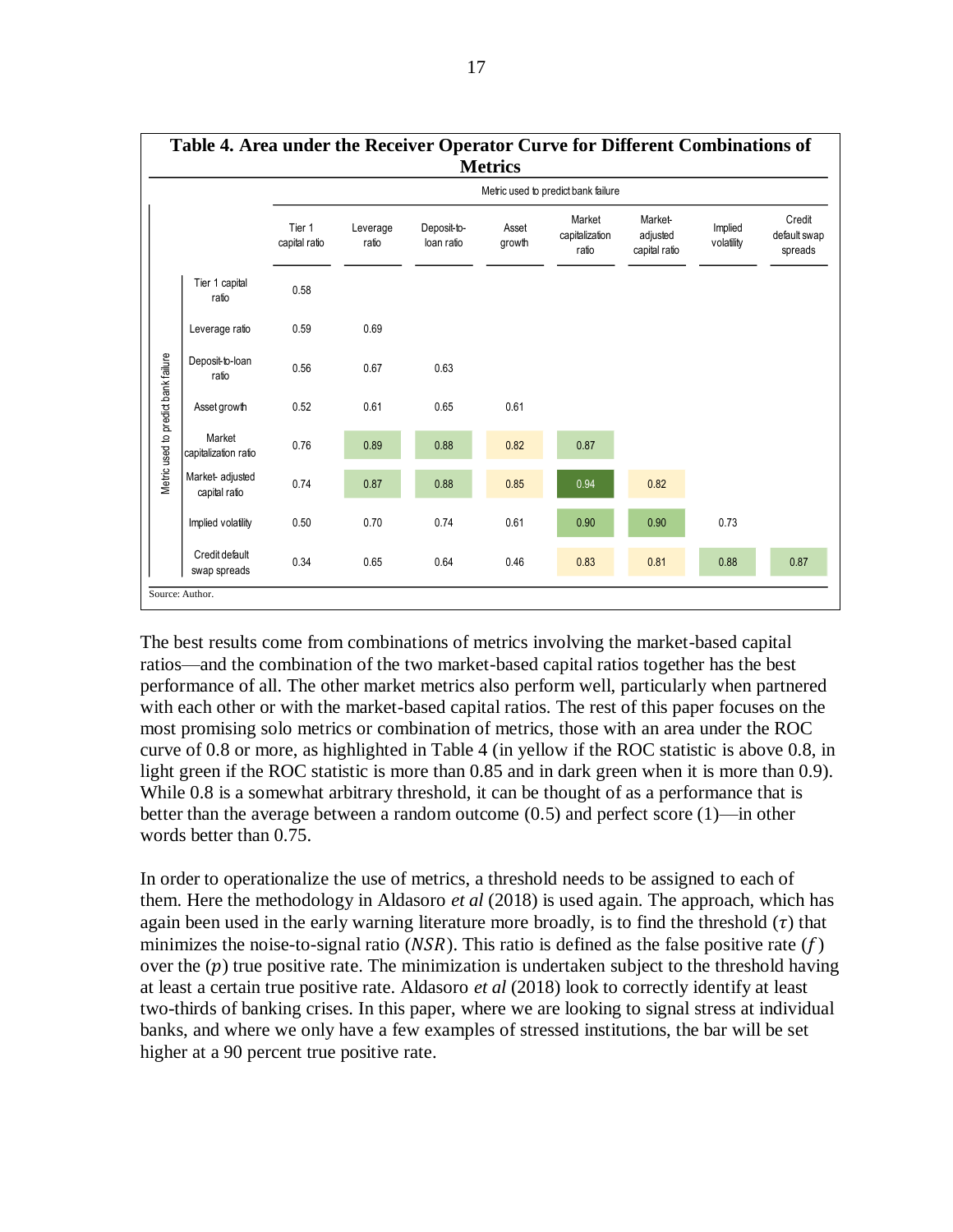

The best results come from combinations of metrics involving the market-based capital ratios—and the combination of the two market-based capital ratios together has the best performance of all. The other market metrics also perform well, particularly when partnered with each other or with the market-based capital ratios. The rest of this paper focuses on the most promising solo metrics or combination of metrics, those with an area under the ROC curve of 0.8 or more, as highlighted in Table 4 (in yellow if the ROC statistic is above 0.8, in light green if the ROC statistic is more than 0.85 and in dark green when it is more than 0.9). While 0.8 is a somewhat arbitrary threshold, it can be thought of as a performance that is better than the average between a random outcome (0.5) and perfect score (1)—in other words better than 0.75.

In order to operationalize the use of metrics, a threshold needs to be assigned to each of them. Here the methodology in Aldasoro *et al* (2018) is used again. The approach, which has again been used in the early warning literature more broadly, is to find the threshold  $(\tau)$  that minimizes the noise-to-signal ratio ( $NSR$ ). This ratio is defined as the false positive rate (f) over the  $(p)$  true positive rate. The minimization is undertaken subject to the threshold having at least a certain true positive rate. Aldasoro *et al* (2018) look to correctly identify at least two-thirds of banking crises. In this paper, where we are looking to signal stress at individual banks, and where we only have a few examples of stressed institutions, the bar will be set higher at a 90 percent true positive rate.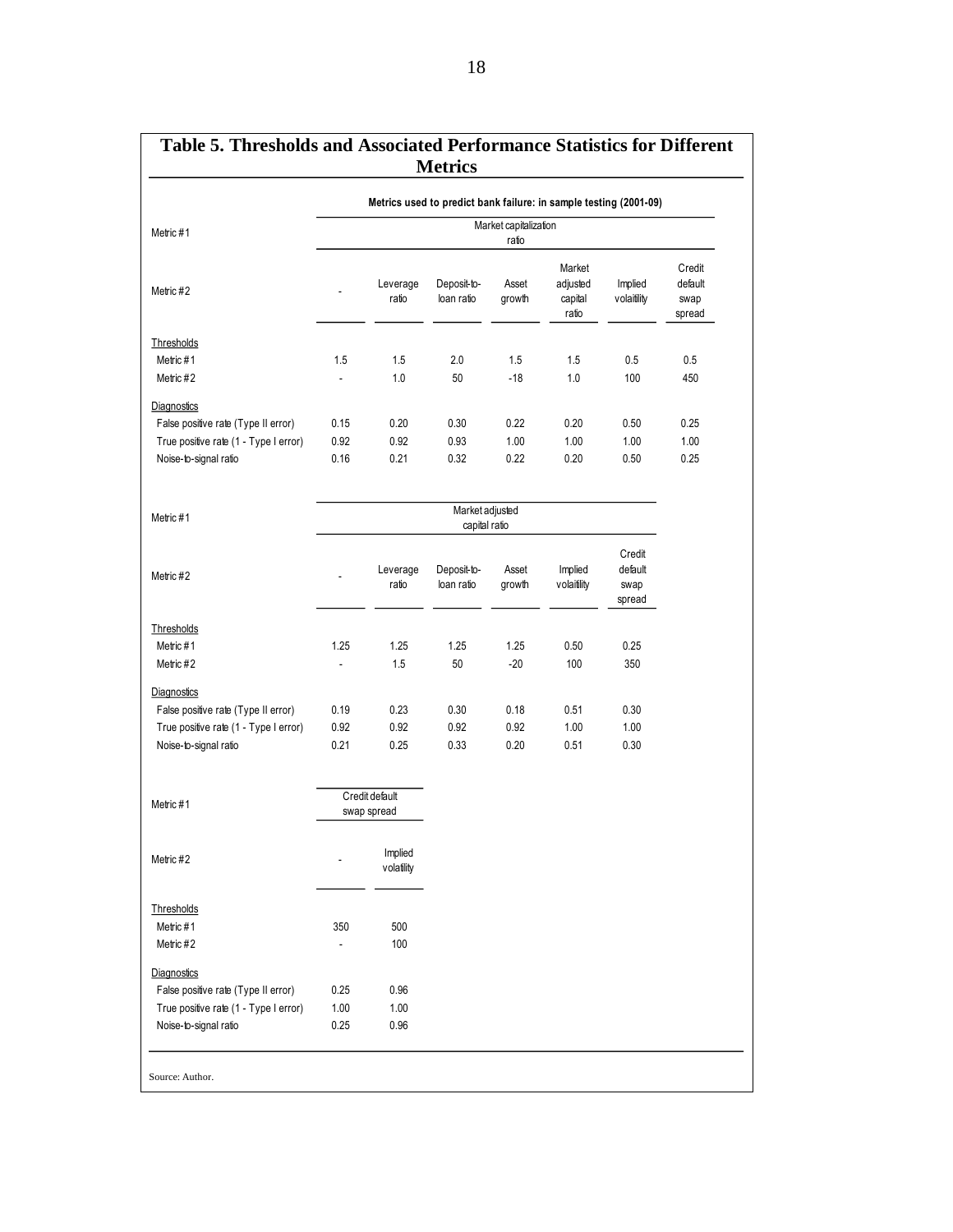| Metric #1                             | Market capitalization<br>ratio |                       |                           |                 |                                        |                                     |                                     |  |
|---------------------------------------|--------------------------------|-----------------------|---------------------------|-----------------|----------------------------------------|-------------------------------------|-------------------------------------|--|
| Metric #2                             |                                | Leverage<br>ratio     | Deposit-to-<br>loan ratio | Asset<br>growth | Market<br>adjusted<br>capital<br>ratio | Implied<br>volaitility              | Credit<br>default<br>swap<br>spread |  |
| Thresholds                            |                                |                       |                           |                 |                                        |                                     |                                     |  |
| Metric#1                              | 1.5                            | 1.5                   | 2.0                       | 1.5             | 1.5                                    | 0.5                                 | 0.5                                 |  |
| Metric #2                             |                                | 1.0                   | 50                        | $-18$           | 1.0                                    | 100                                 | 450                                 |  |
| Diagnostics                           |                                |                       |                           |                 |                                        |                                     |                                     |  |
| False positive rate (Type II error)   | 0.15                           | 0.20                  | 0.30                      | 0.22            | 0.20                                   | 0.50                                | 0.25                                |  |
| True positive rate (1 - Type I error) | 0.92                           | 0.92                  | 0.93                      | 1.00            | 1.00                                   | 1.00                                | 1.00                                |  |
| Noise-to-signal ratio                 | 0.16                           | 0.21                  | 0.32                      | 0.22            | 0.20                                   | 0.50                                | 0.25                                |  |
|                                       |                                |                       | Market adjusted           |                 |                                        |                                     |                                     |  |
| Metric #1                             |                                |                       | capital ratio             |                 |                                        |                                     |                                     |  |
| Metric #2                             |                                | Leverage<br>ratio     | Deposit-to-<br>loan ratio | Asset<br>growth | Implied<br>volaitility                 | Credit<br>default<br>swap<br>spread |                                     |  |
| Thresholds                            |                                |                       |                           |                 |                                        |                                     |                                     |  |
| Metric#1                              | 1.25                           | 1.25                  | 1.25                      | 1.25            | 0.50                                   | 0.25                                |                                     |  |
| Metric #2                             | ä,                             | 1.5                   | 50                        | $-20$           | 100                                    | 350                                 |                                     |  |
| Diagnostics                           |                                |                       |                           |                 |                                        |                                     |                                     |  |
| False positive rate (Type II error)   | 0.19                           | 0.23                  | 0.30                      | 0.18            | 0.51                                   | 0.30                                |                                     |  |
| True positive rate (1 - Type I error) | 0.92                           | 0.92                  | 0.92                      | 0.92            | 1.00                                   | 1.00                                |                                     |  |
| Noise-to-signal ratio                 | 0.21                           | 0.25                  | 0.33                      | 0.20            | 0.51                                   | 0.30                                |                                     |  |
| Metric #1                             |                                | Credit default        |                           |                 |                                        |                                     |                                     |  |
|                                       |                                | swap spread           |                           |                 |                                        |                                     |                                     |  |
| Metric #2                             | $\overline{\phantom{m}}$       | Implied<br>volatility |                           |                 |                                        |                                     |                                     |  |
| Thresholds                            |                                |                       |                           |                 |                                        |                                     |                                     |  |
| Metric #1                             | 350                            | 500                   |                           |                 |                                        |                                     |                                     |  |
| Metric #2                             |                                | 100                   |                           |                 |                                        |                                     |                                     |  |
| Diagnostics                           |                                |                       |                           |                 |                                        |                                     |                                     |  |
| False positive rate (Type II error)   | 0.25                           | 0.96                  |                           |                 |                                        |                                     |                                     |  |
| True positive rate (1 - Type I error) | 1.00                           | 1.00                  |                           |                 |                                        |                                     |                                     |  |
| Noise-to-signal ratio                 | 0.25                           | 0.96                  |                           |                 |                                        |                                     |                                     |  |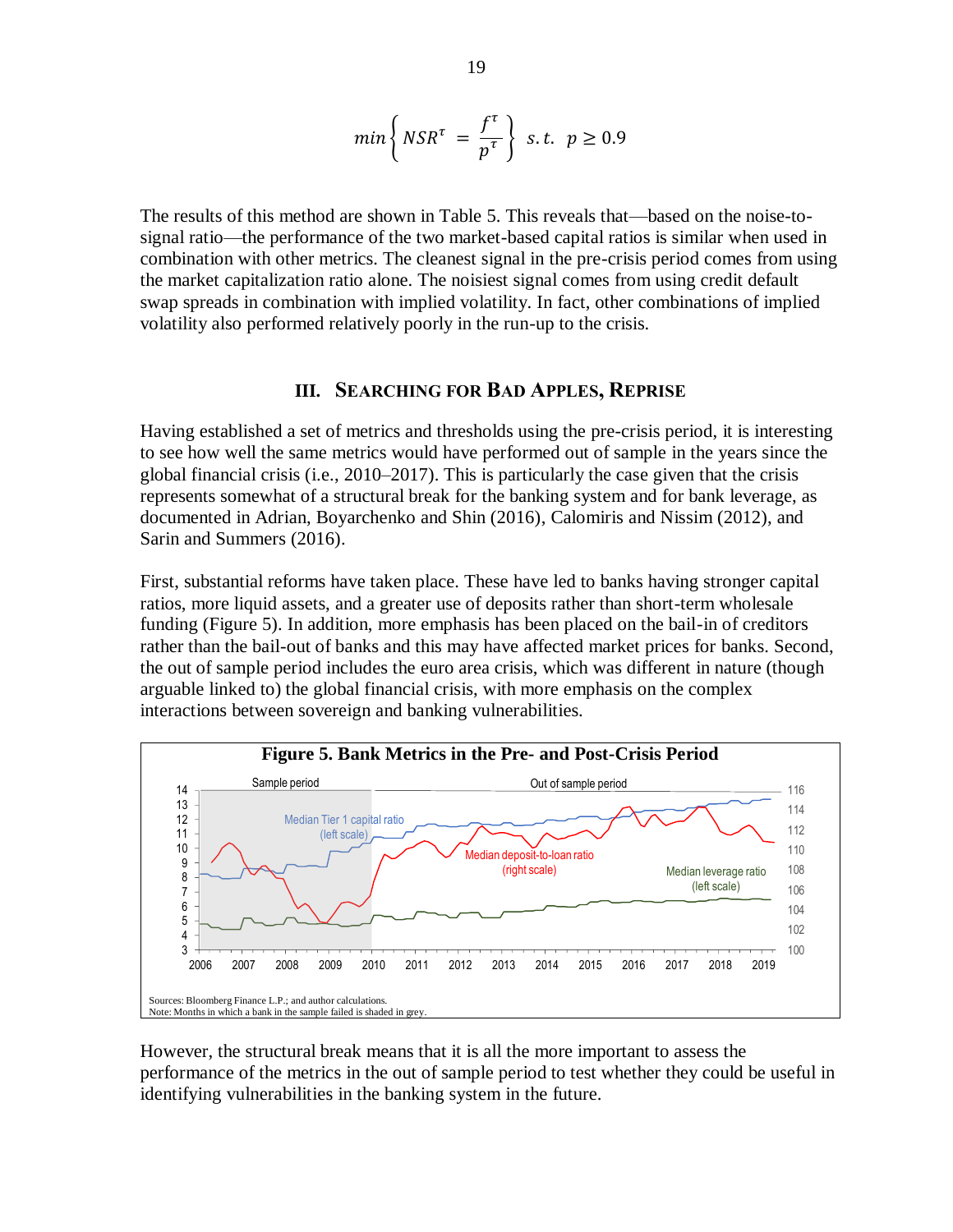$$
min\left\{NSR^{\tau} = \frac{f^{\tau}}{p^{\tau}}\right\} \text{ s.t. } p \ge 0.9
$$

The results of this method are shown in Table 5. This reveals that—based on the noise-tosignal ratio—the performance of the two market-based capital ratios is similar when used in combination with other metrics. The cleanest signal in the pre-crisis period comes from using the market capitalization ratio alone. The noisiest signal comes from using credit default swap spreads in combination with implied volatility. In fact, other combinations of implied volatility also performed relatively poorly in the run-up to the crisis.

#### **III. SEARCHING FOR BAD APPLES, REPRISE**

Having established a set of metrics and thresholds using the pre-crisis period, it is interesting to see how well the same metrics would have performed out of sample in the years since the global financial crisis (i.e., 2010–2017). This is particularly the case given that the crisis represents somewhat of a structural break for the banking system and for bank leverage, as documented in Adrian, Boyarchenko and Shin (2016), Calomiris and Nissim (2012), and Sarin and Summers (2016).

First, substantial reforms have taken place. These have led to banks having stronger capital ratios, more liquid assets, and a greater use of deposits rather than short-term wholesale funding (Figure 5). In addition, more emphasis has been placed on the bail-in of creditors rather than the bail-out of banks and this may have affected market prices for banks. Second, the out of sample period includes the euro area crisis, which was different in nature (though arguable linked to) the global financial crisis, with more emphasis on the complex interactions between sovereign and banking vulnerabilities.



However, the structural break means that it is all the more important to assess the performance of the metrics in the out of sample period to test whether they could be useful in identifying vulnerabilities in the banking system in the future.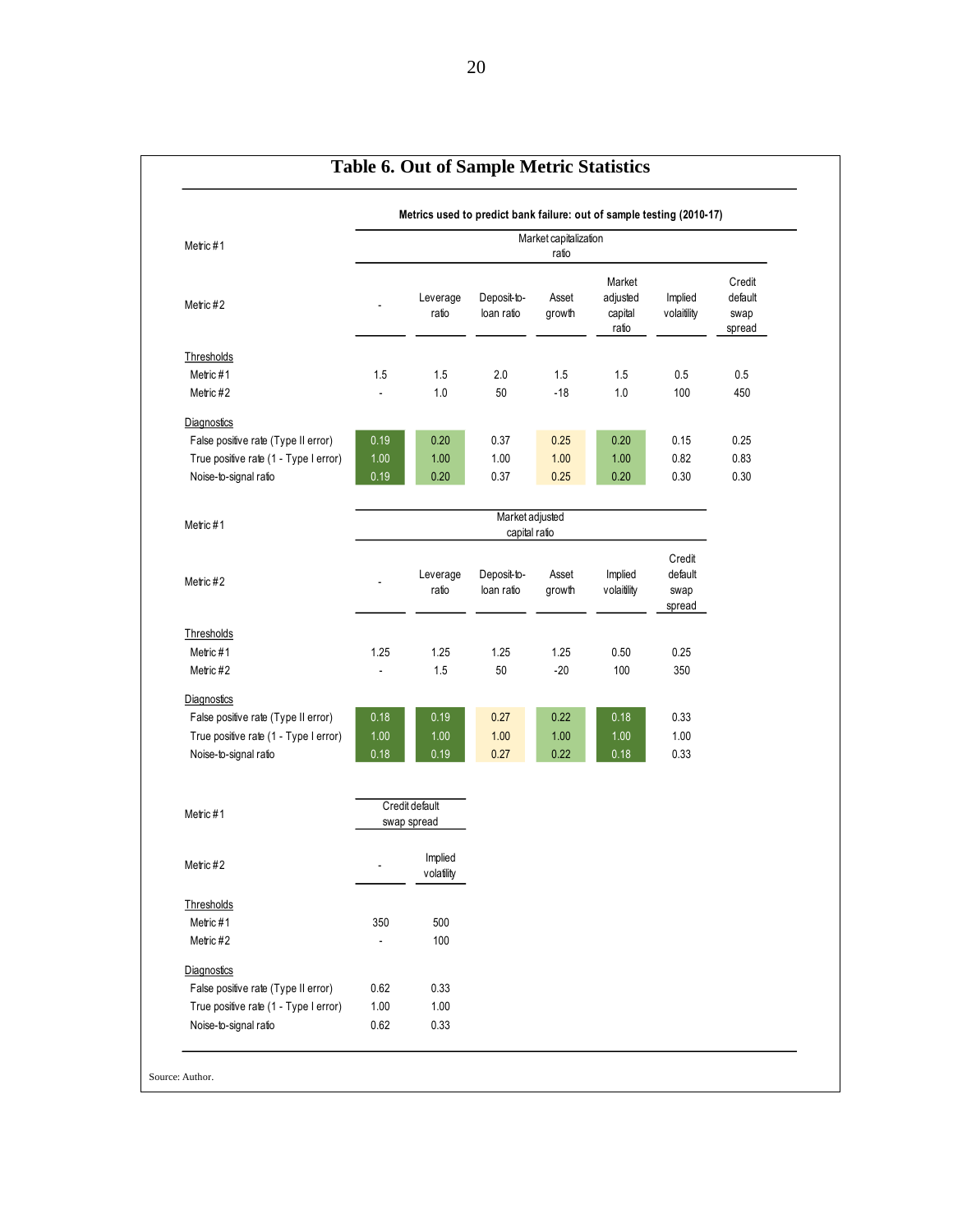|                                       | Metrics used to predict bank failure: out of sample testing (2010-17) |                               |                           |                 |                                        |                           |                                     |
|---------------------------------------|-----------------------------------------------------------------------|-------------------------------|---------------------------|-----------------|----------------------------------------|---------------------------|-------------------------------------|
| Metric #1                             | Market capitalization<br>ratio                                        |                               |                           |                 |                                        |                           |                                     |
| Metric #2                             |                                                                       | Leverage<br>ratio             | Deposit-to-<br>loan ratio | Asset<br>growth | Market<br>adjusted<br>capital<br>ratio | Implied<br>volaitility    | Credit<br>default<br>swap<br>spread |
| Thresholds                            |                                                                       |                               |                           |                 |                                        |                           |                                     |
| Metric #1                             | 1.5                                                                   | 1.5                           | 2.0                       | 1.5             | 1.5                                    | 0.5                       | 0.5                                 |
| Metric #2                             |                                                                       | 1.0                           | 50                        | $-18$           | 1.0                                    | 100                       | 450                                 |
| Diagnostics                           |                                                                       |                               |                           |                 |                                        |                           |                                     |
| False positive rate (Type II error)   | 0.19                                                                  | 0.20                          | 0.37                      | 0.25            | 0.20                                   | 0.15                      | 0.25                                |
| True positive rate (1 - Type I error) | 1.00                                                                  | 1.00                          | 1.00                      | 1.00            | 1.00                                   | 0.82                      | 0.83                                |
| Noise-to-signal ratio                 | 0.19                                                                  | 0.20                          | 0.37                      | 0.25            | 0.20                                   | 0.30                      | 0.30                                |
|                                       |                                                                       |                               | Market adjusted           |                 |                                        |                           |                                     |
| Metric #1                             |                                                                       |                               | capital ratio             |                 |                                        |                           |                                     |
| Metric #2                             |                                                                       | Leverage<br>ratio             | Deposit-to-<br>loan ratio | Asset<br>growth | Implied<br>volaitility                 | Credit<br>default<br>swap |                                     |
|                                       |                                                                       |                               |                           |                 |                                        | spread                    |                                     |
| Thresholds                            | 1.25                                                                  |                               | 1.25                      |                 |                                        |                           |                                     |
| Metric #1<br>Metric #2                | ä,                                                                    | 1.25<br>1.5                   | 50                        | 1.25<br>$-20$   | 0.50<br>100                            | 0.25<br>350               |                                     |
|                                       |                                                                       |                               |                           |                 |                                        |                           |                                     |
| Diagnostics                           |                                                                       |                               |                           |                 |                                        |                           |                                     |
| False positive rate (Type II error)   | 0.18                                                                  | 0.19                          | 0.27                      | 0.22            | 0.18                                   | 0.33                      |                                     |
| True positive rate (1 - Type I error) | 1.00                                                                  | 1.00                          | 1.00                      | 1.00            | 1.00                                   | 1.00                      |                                     |
| Noise-to-signal ratio                 | 0.18                                                                  | 0.19                          | 0.27                      | 0.22            | 0.18                                   | 0.33                      |                                     |
| Metric #1                             |                                                                       | Credit default<br>swap spread |                           |                 |                                        |                           |                                     |
| Metric #2                             |                                                                       | Implied<br>volatility         |                           |                 |                                        |                           |                                     |
| Thresholds                            |                                                                       |                               |                           |                 |                                        |                           |                                     |
| Metric #1                             | 350                                                                   | 500                           |                           |                 |                                        |                           |                                     |
| Metric #2                             | ÷,                                                                    | 100                           |                           |                 |                                        |                           |                                     |
| Diagnostics                           |                                                                       |                               |                           |                 |                                        |                           |                                     |
| False positive rate (Type II error)   | 0.62                                                                  | 0.33                          |                           |                 |                                        |                           |                                     |
| True positive rate (1 - Type I error) | 1.00                                                                  | 1.00                          |                           |                 |                                        |                           |                                     |
| Noise-to-signal ratio                 | 0.62                                                                  | 0.33                          |                           |                 |                                        |                           |                                     |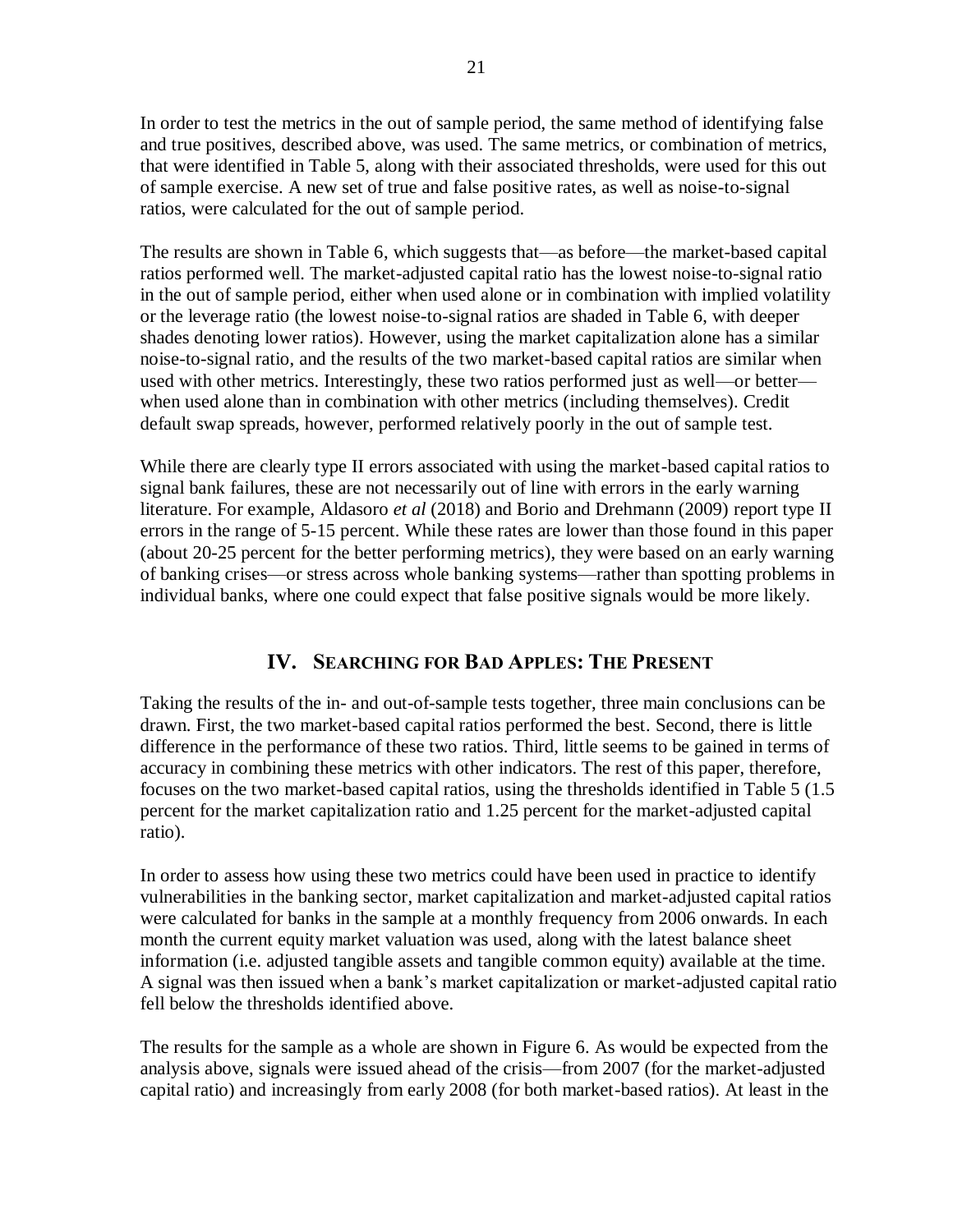In order to test the metrics in the out of sample period, the same method of identifying false and true positives, described above, was used. The same metrics, or combination of metrics, that were identified in Table 5, along with their associated thresholds, were used for this out of sample exercise. A new set of true and false positive rates, as well as noise-to-signal ratios, were calculated for the out of sample period.

The results are shown in Table 6, which suggests that—as before—the market-based capital ratios performed well. The market-adjusted capital ratio has the lowest noise-to-signal ratio in the out of sample period, either when used alone or in combination with implied volatility or the leverage ratio (the lowest noise-to-signal ratios are shaded in Table 6, with deeper shades denoting lower ratios). However, using the market capitalization alone has a similar noise-to-signal ratio, and the results of the two market-based capital ratios are similar when used with other metrics. Interestingly, these two ratios performed just as well—or better when used alone than in combination with other metrics (including themselves). Credit default swap spreads, however, performed relatively poorly in the out of sample test.

While there are clearly type II errors associated with using the market-based capital ratios to signal bank failures, these are not necessarily out of line with errors in the early warning literature. For example, Aldasoro *et al* (2018) and Borio and Drehmann (2009) report type II errors in the range of 5-15 percent. While these rates are lower than those found in this paper (about 20-25 percent for the better performing metrics), they were based on an early warning of banking crises—or stress across whole banking systems—rather than spotting problems in individual banks, where one could expect that false positive signals would be more likely.

## **IV. SEARCHING FOR BAD APPLES: THE PRESENT**

Taking the results of the in- and out-of-sample tests together, three main conclusions can be drawn. First, the two market-based capital ratios performed the best. Second, there is little difference in the performance of these two ratios. Third, little seems to be gained in terms of accuracy in combining these metrics with other indicators. The rest of this paper, therefore, focuses on the two market-based capital ratios, using the thresholds identified in Table 5 (1.5 percent for the market capitalization ratio and 1.25 percent for the market-adjusted capital ratio).

In order to assess how using these two metrics could have been used in practice to identify vulnerabilities in the banking sector, market capitalization and market-adjusted capital ratios were calculated for banks in the sample at a monthly frequency from 2006 onwards. In each month the current equity market valuation was used, along with the latest balance sheet information (i.e. adjusted tangible assets and tangible common equity) available at the time. A signal was then issued when a bank's market capitalization or market-adjusted capital ratio fell below the thresholds identified above.

The results for the sample as a whole are shown in Figure 6. As would be expected from the analysis above, signals were issued ahead of the crisis—from 2007 (for the market-adjusted capital ratio) and increasingly from early 2008 (for both market-based ratios). At least in the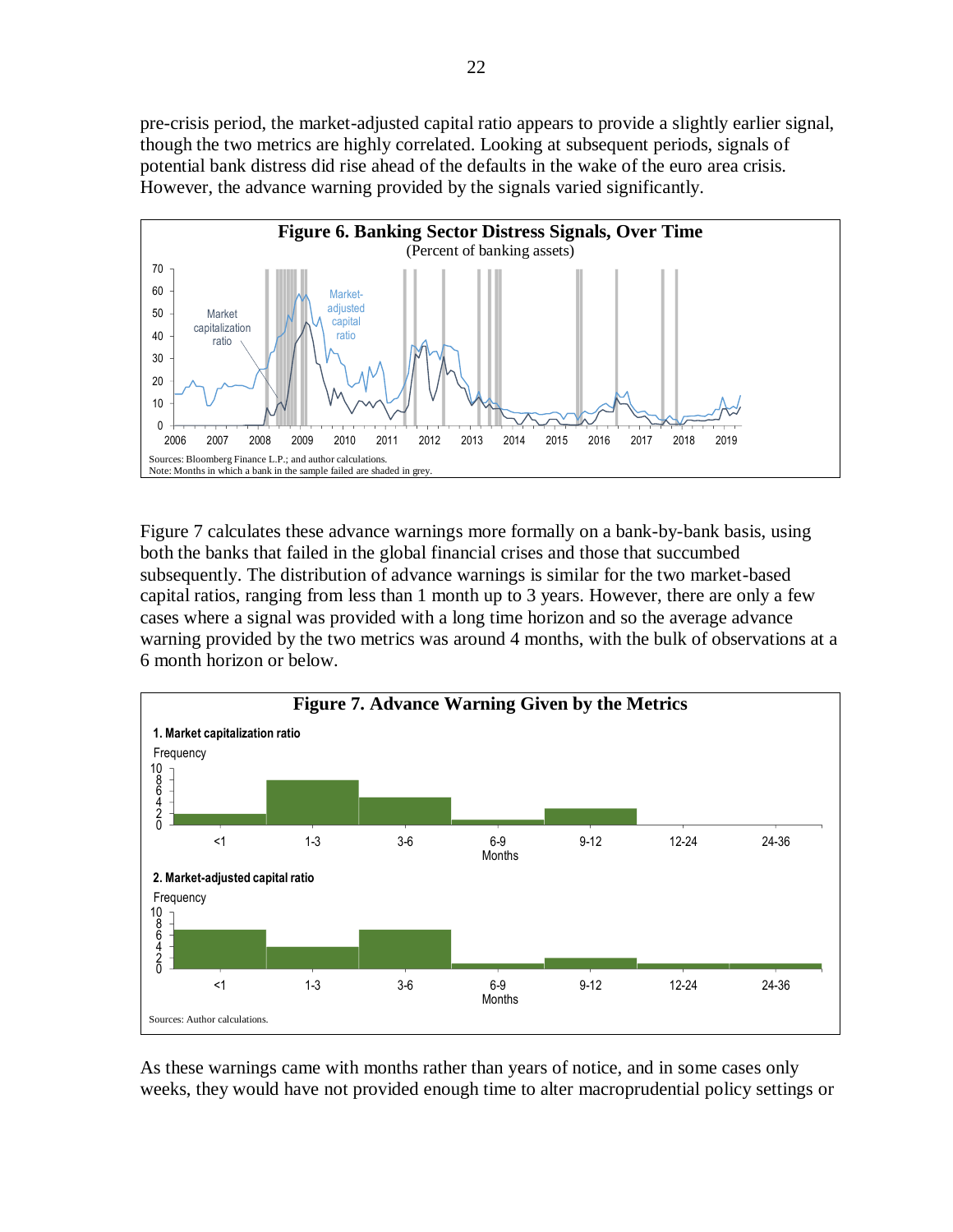pre-crisis period, the market-adjusted capital ratio appears to provide a slightly earlier signal, though the two metrics are highly correlated. Looking at subsequent periods, signals of potential bank distress did rise ahead of the defaults in the wake of the euro area crisis. However, the advance warning provided by the signals varied significantly.



Figure 7 calculates these advance warnings more formally on a bank-by-bank basis, using both the banks that failed in the global financial crises and those that succumbed subsequently. The distribution of advance warnings is similar for the two market-based capital ratios, ranging from less than 1 month up to 3 years. However, there are only a few cases where a signal was provided with a long time horizon and so the average advance warning provided by the two metrics was around 4 months, with the bulk of observations at a 6 month horizon or below.



As these warnings came with months rather than years of notice, and in some cases only weeks, they would have not provided enough time to alter macroprudential policy settings or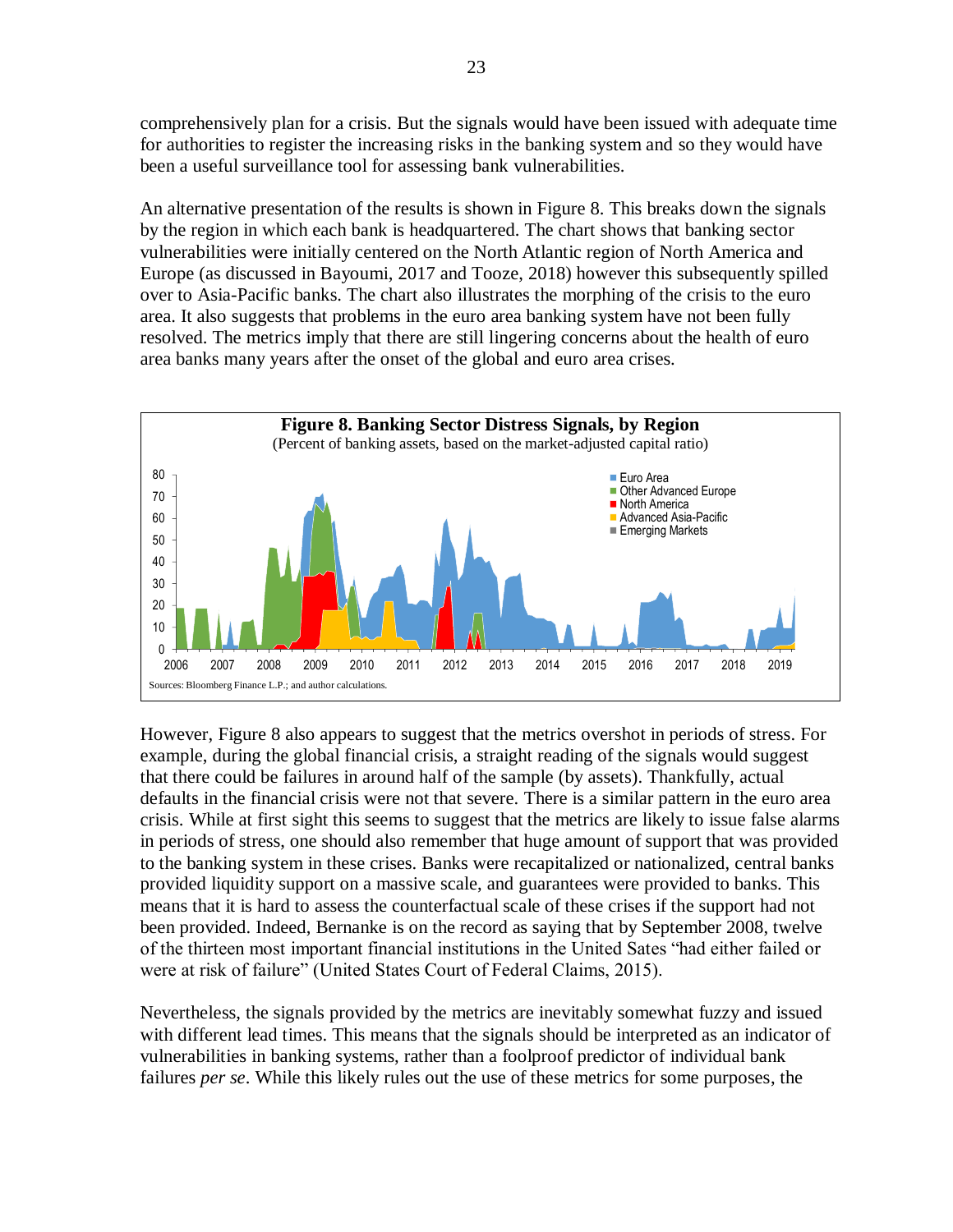comprehensively plan for a crisis. But the signals would have been issued with adequate time for authorities to register the increasing risks in the banking system and so they would have been a useful surveillance tool for assessing bank vulnerabilities.

An alternative presentation of the results is shown in Figure 8. This breaks down the signals by the region in which each bank is headquartered. The chart shows that banking sector vulnerabilities were initially centered on the North Atlantic region of North America and Europe (as discussed in Bayoumi, 2017 and Tooze, 2018) however this subsequently spilled over to Asia-Pacific banks. The chart also illustrates the morphing of the crisis to the euro area. It also suggests that problems in the euro area banking system have not been fully resolved. The metrics imply that there are still lingering concerns about the health of euro area banks many years after the onset of the global and euro area crises.



However, Figure 8 also appears to suggest that the metrics overshot in periods of stress. For example, during the global financial crisis, a straight reading of the signals would suggest that there could be failures in around half of the sample (by assets). Thankfully, actual defaults in the financial crisis were not that severe. There is a similar pattern in the euro area crisis. While at first sight this seems to suggest that the metrics are likely to issue false alarms in periods of stress, one should also remember that huge amount of support that was provided to the banking system in these crises. Banks were recapitalized or nationalized, central banks provided liquidity support on a massive scale, and guarantees were provided to banks. This means that it is hard to assess the counterfactual scale of these crises if the support had not been provided. Indeed, Bernanke is on the record as saying that by September 2008, twelve of the thirteen most important financial institutions in the United Sates "had either failed or were at risk of failure" (United States Court of Federal Claims, 2015).

Nevertheless, the signals provided by the metrics are inevitably somewhat fuzzy and issued with different lead times. This means that the signals should be interpreted as an indicator of vulnerabilities in banking systems, rather than a foolproof predictor of individual bank failures *per se*. While this likely rules out the use of these metrics for some purposes, the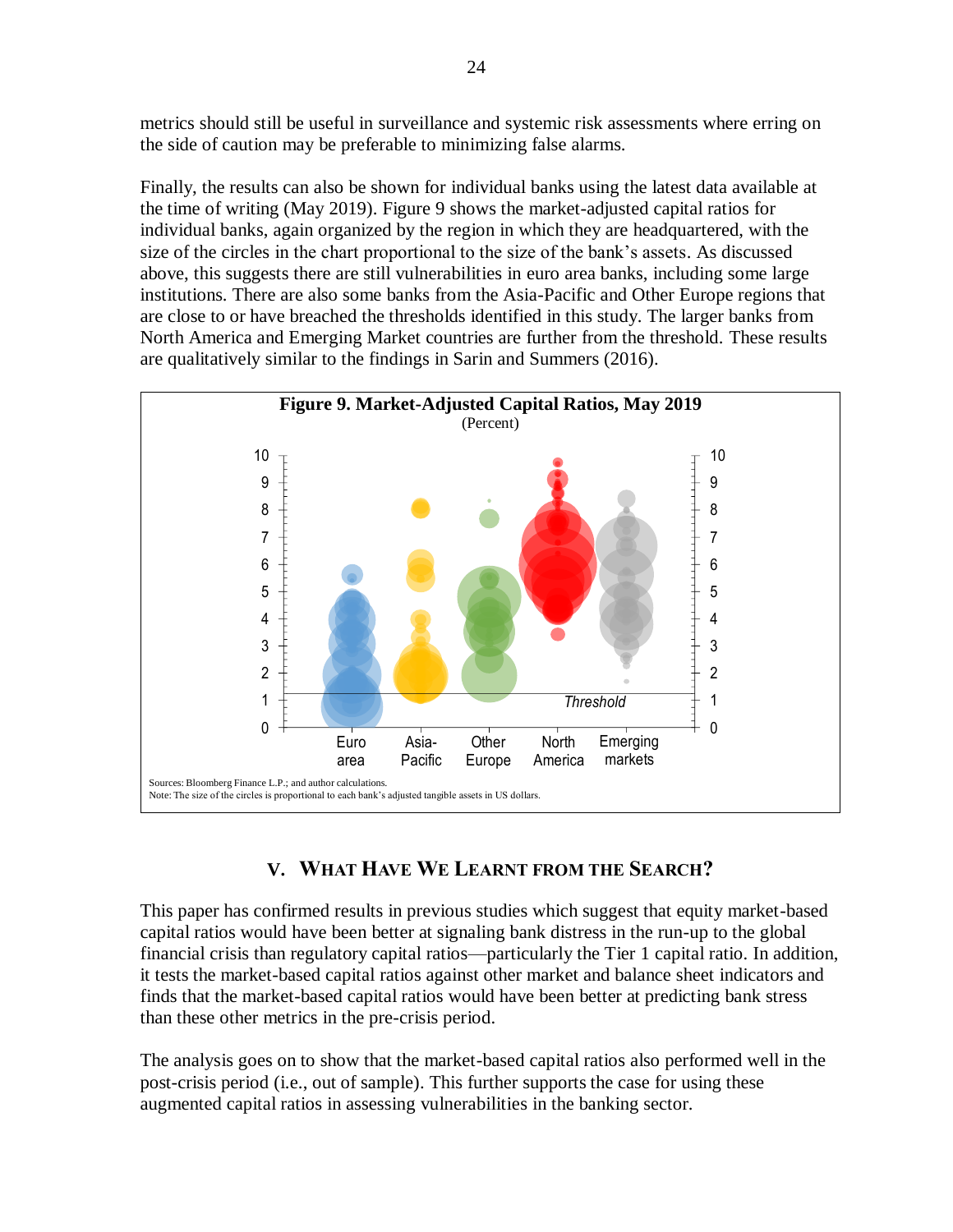metrics should still be useful in surveillance and systemic risk assessments where erring on the side of caution may be preferable to minimizing false alarms.

Finally, the results can also be shown for individual banks using the latest data available at the time of writing (May 2019). Figure 9 shows the market-adjusted capital ratios for individual banks, again organized by the region in which they are headquartered, with the size of the circles in the chart proportional to the size of the bank's assets. As discussed above, this suggests there are still vulnerabilities in euro area banks, including some large institutions. There are also some banks from the Asia-Pacific and Other Europe regions that are close to or have breached the thresholds identified in this study. The larger banks from North America and Emerging Market countries are further from the threshold. These results are qualitatively similar to the findings in Sarin and Summers (2016).



# **V. WHAT HAVE WE LEARNT FROM THE SEARCH?**

This paper has confirmed results in previous studies which suggest that equity market-based capital ratios would have been better at signaling bank distress in the run-up to the global financial crisis than regulatory capital ratios—particularly the Tier 1 capital ratio. In addition, it tests the market-based capital ratios against other market and balance sheet indicators and finds that the market-based capital ratios would have been better at predicting bank stress than these other metrics in the pre-crisis period.

The analysis goes on to show that the market-based capital ratios also performed well in the post-crisis period (i.e., out of sample). This further supports the case for using these augmented capital ratios in assessing vulnerabilities in the banking sector.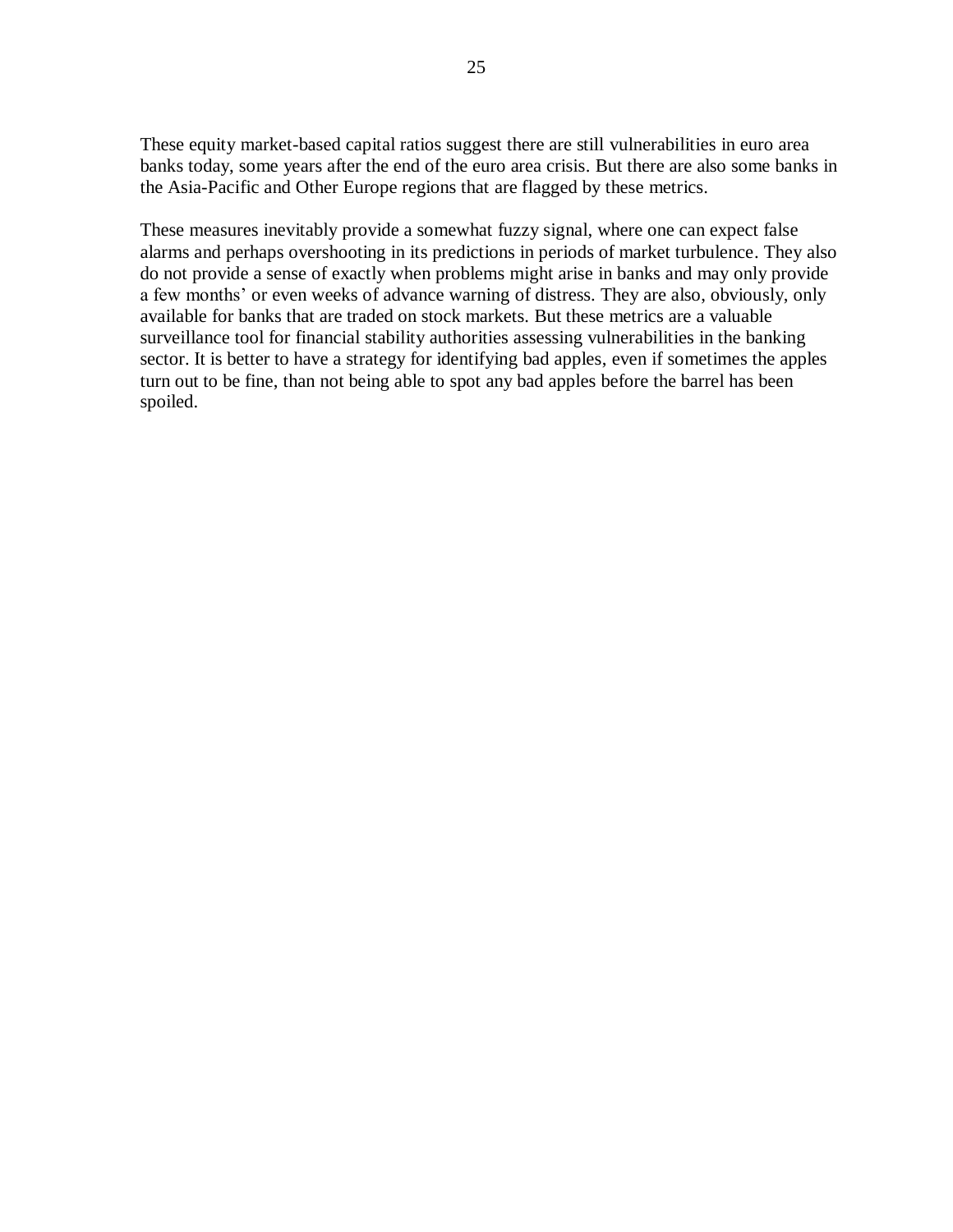These equity market-based capital ratios suggest there are still vulnerabilities in euro area banks today, some years after the end of the euro area crisis. But there are also some banks in the Asia-Pacific and Other Europe regions that are flagged by these metrics.

These measures inevitably provide a somewhat fuzzy signal, where one can expect false alarms and perhaps overshooting in its predictions in periods of market turbulence. They also do not provide a sense of exactly when problems might arise in banks and may only provide a few months' or even weeks of advance warning of distress. They are also, obviously, only available for banks that are traded on stock markets. But these metrics are a valuable surveillance tool for financial stability authorities assessing vulnerabilities in the banking sector. It is better to have a strategy for identifying bad apples, even if sometimes the apples turn out to be fine, than not being able to spot any bad apples before the barrel has been spoiled.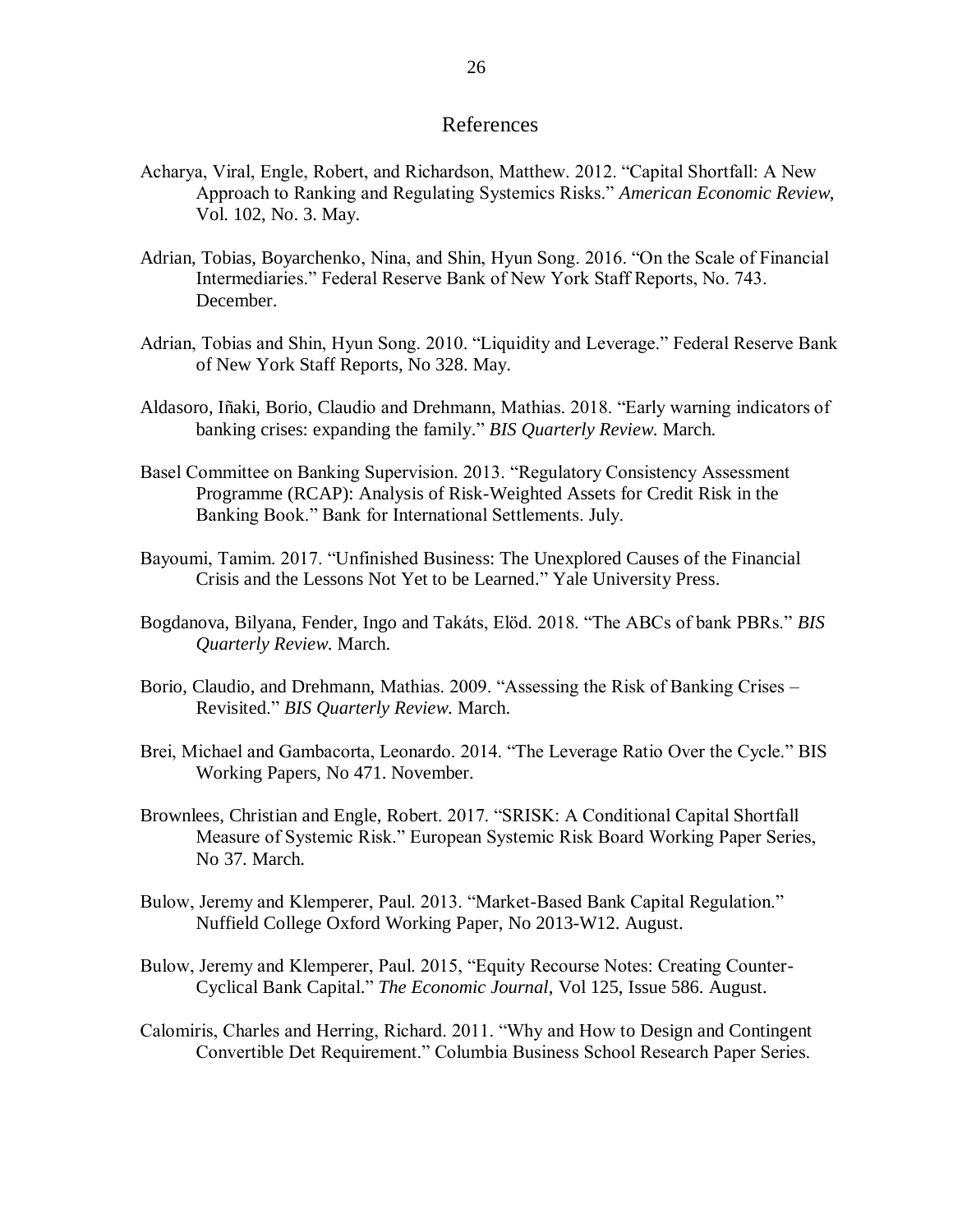#### References

- Acharya, Viral, Engle, Robert, and Richardson, Matthew. 2012. "Capital Shortfall: A New Approach to Ranking and Regulating Systemics Risks." *American Economic Review*, Vol. 102, No. 3. May.
- Adrian, Tobias, Boyarchenko, Nina, and Shin, Hyun Song. 2016. "On the Scale of Financial Intermediaries." Federal Reserve Bank of New York Staff Reports, No. 743. December.
- Adrian, Tobias and Shin, Hyun Song. 2010. "Liquidity and Leverage." Federal Reserve Bank of New York Staff Reports, No 328. May.
- Aldasoro, Iñaki, Borio, Claudio and Drehmann, Mathias. 2018. "Early warning indicators of banking crises: expanding the family." *BIS Quarterly Review*. March.
- Basel Committee on Banking Supervision. 2013. "Regulatory Consistency Assessment Programme (RCAP): Analysis of Risk-Weighted Assets for Credit Risk in the Banking Book." Bank for International Settlements. July.
- Bayoumi, Tamim. 2017. "Unfinished Business: The Unexplored Causes of the Financial Crisis and the Lessons Not Yet to be Learned." Yale University Press.
- Bogdanova, Bilyana, Fender, Ingo and Takáts, Elöd. 2018. "The ABCs of bank PBRs." *BIS Quarterly Review*. March.
- Borio, Claudio, and Drehmann, Mathias. 2009. "Assessing the Risk of Banking Crises Revisited." *BIS Quarterly Review*. March.
- Brei, Michael and Gambacorta, Leonardo. 2014. "The Leverage Ratio Over the Cycle." BIS Working Papers, No 471. November.
- Brownlees, Christian and Engle, Robert. 2017. "SRISK: A Conditional Capital Shortfall Measure of Systemic Risk." European Systemic Risk Board Working Paper Series, No 37. March.
- Bulow, Jeremy and Klemperer, Paul. 2013. "Market-Based Bank Capital Regulation." Nuffield College Oxford Working Paper, No 2013-W12. August.
- Bulow, Jeremy and Klemperer, Paul. 2015, "Equity Recourse Notes: Creating Counter-Cyclical Bank Capital." *The Economic Journal*, Vol 125, Issue 586. August.
- Calomiris, Charles and Herring, Richard. 2011. "Why and How to Design and Contingent Convertible Det Requirement." Columbia Business School Research Paper Series.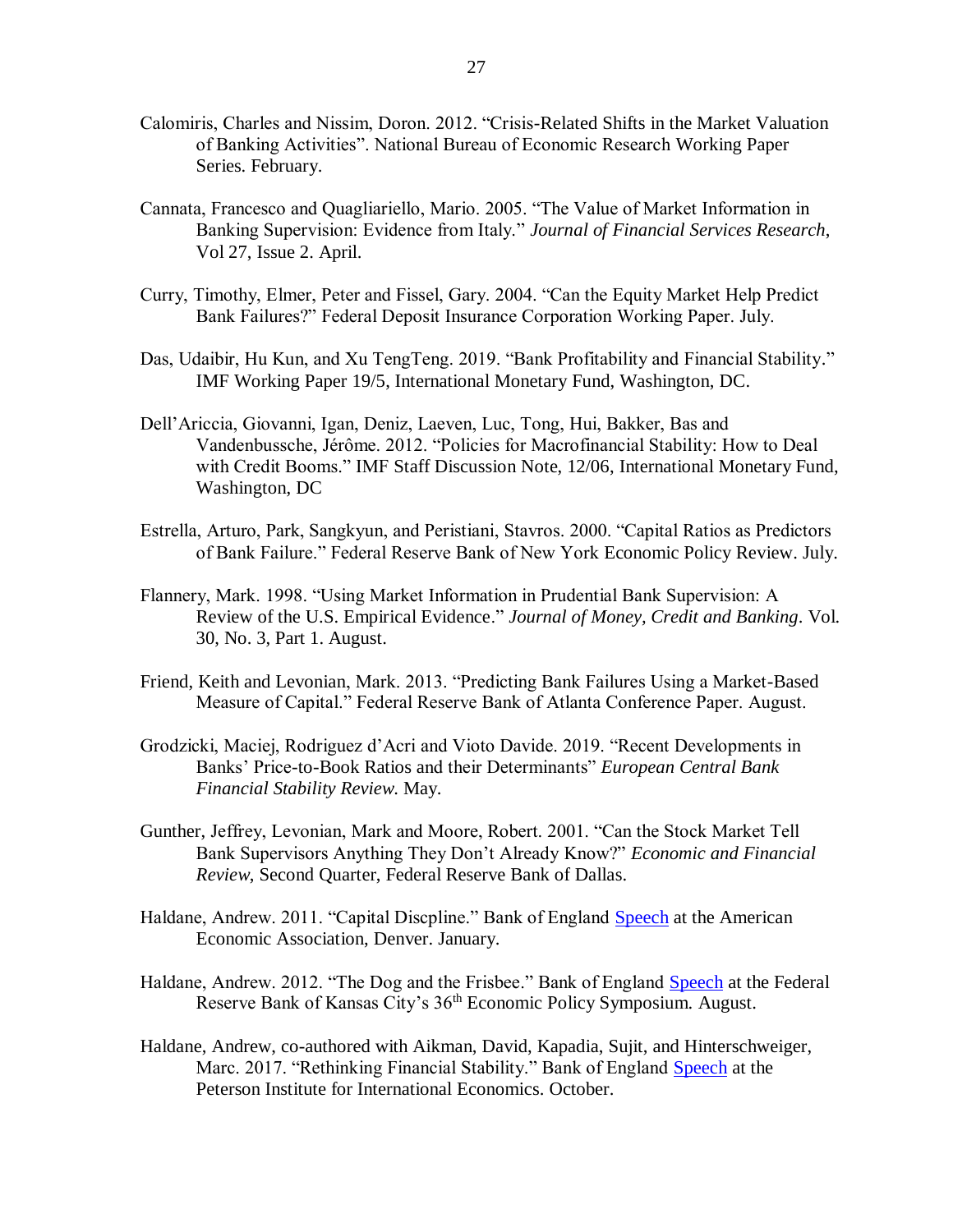- Calomiris, Charles and Nissim, Doron. 2012. "Crisis-Related Shifts in the Market Valuation of Banking Activities". National Bureau of Economic Research Working Paper Series. February.
- Cannata, Francesco and Quagliariello, Mario. 2005. "The Value of Market Information in Banking Supervision: Evidence from Italy." *Journal of Financial Services Research*, Vol 27, Issue 2. April.
- Curry, Timothy, Elmer, Peter and Fissel, Gary. 2004. "Can the Equity Market Help Predict Bank Failures?" Federal Deposit Insurance Corporation Working Paper. July.
- Das, Udaibir, Hu Kun, and Xu TengTeng. 2019. "Bank Profitability and Financial Stability." IMF Working Paper 19/5, International Monetary Fund, Washington, DC.
- Dell'Ariccia, Giovanni, Igan, Deniz, Laeven, Luc, Tong, Hui, Bakker, Bas and Vandenbussche, Jérôme. 2012. "Policies for Macrofinancial Stability: How to Deal with Credit Booms." IMF Staff Discussion Note, 12/06, International Monetary Fund, Washington, DC
- Estrella, Arturo, Park, Sangkyun, and Peristiani, Stavros. 2000. "Capital Ratios as Predictors of Bank Failure." Federal Reserve Bank of New York Economic Policy Review. July.
- Flannery, Mark. 1998. "Using Market Information in Prudential Bank Supervision: A Review of the U.S. Empirical Evidence." *Journal of Money, Credit and Banking*. Vol. 30, No. 3, Part 1. August.
- Friend, Keith and Levonian, Mark. 2013. "Predicting Bank Failures Using a Market-Based Measure of Capital." Federal Reserve Bank of Atlanta Conference Paper. August.
- Grodzicki, Maciej, Rodriguez d'Acri and Vioto Davide. 2019. "Recent Developments in Banks' Price-to-Book Ratios and their Determinants" *European Central Bank Financial Stability Review*. May.
- Gunther, Jeffrey, Levonian, Mark and Moore, Robert. 2001. "Can the Stock Market Tell Bank Supervisors Anything They Don't Already Know?" *Economic and Financial Review*, Second Quarter, Federal Reserve Bank of Dallas.
- Haldane, Andrew. 2011. "Capital Discpline." Bank of England [Speech](https://www.bankofengland.co.uk/-/media/boe/files/speech/2011/capital-discipline-speech-by-andrew-haldane.pdf?la=en&hash=8FEEEC441150FF32DEDF7C20AA4E815C5C105445) at the American Economic Association, Denver. January.
- Haldane, Andrew. 2012. "The Dog and the Frisbee." Bank of England [Speech](https://www.bankofengland.co.uk/-/media/boe/files/paper/2012/the-dog-and-the-frisbee.pdf?la=en&hash=4DEAA2E6D1698A1A0891153A6B4CE70F308351D7) at the Federal Reserve Bank of Kansas City's 36th Economic Policy Symposium. August.
- Haldane, Andrew, co-authored with Aikman, David, Kapadia, Sujit, and Hinterschweiger, Marc. 2017. "Rethinking Financial Stability." Bank of England [Speech](https://www.bis.org/review/r171013f.pdf) at the Peterson Institute for International Economics. October.